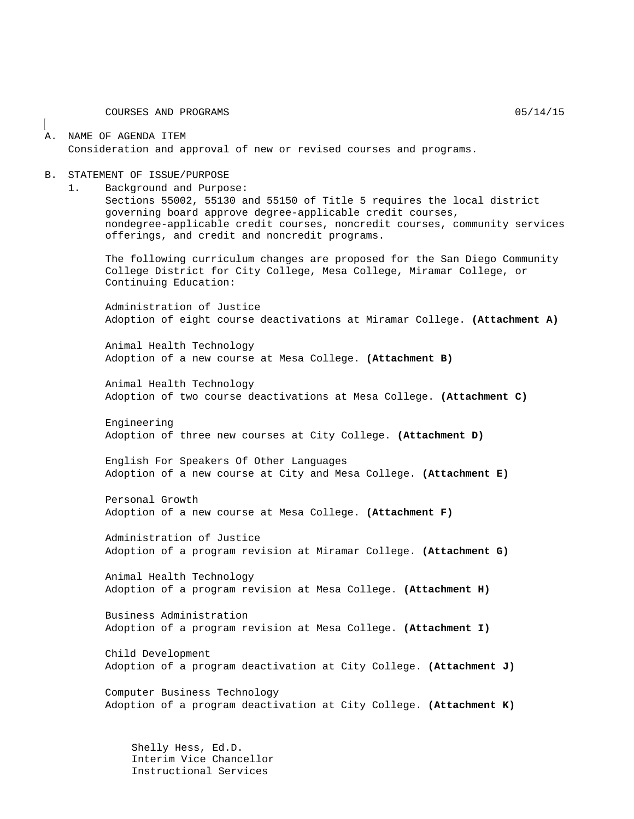COURSES AND PROGRAMS  $05/14/15$ 

#### A. NAME OF AGENDA ITEM Consideration and approval of new or revised courses and programs.

#### B. STATEMENT OF ISSUE/PURPOSE

1. Background and Purpose:

Sections 55002, 55130 and 55150 of Title 5 requires the local district governing board approve degree-applicable credit courses, nondegree-applicable credit courses, noncredit courses, community services offerings, and credit and noncredit programs.

The following curriculum changes are proposed for the San Diego Community College District for City College, Mesa College, Miramar College, or Continuing Education:

Administration of Justice Adoption of eight course deactivations at Miramar College. **(Attachment A)**

Animal Health Technology Adoption of a new course at Mesa College. **(Attachment B)**

Animal Health Technology Adoption of two course deactivations at Mesa College. **(Attachment C)**

Engineering Adoption of three new courses at City College. **(Attachment D)**

English For Speakers Of Other Languages Adoption of a new course at City and Mesa College. **(Attachment E)**

Personal Growth Adoption of a new course at Mesa College. **(Attachment F)**

Administration of Justice Adoption of a program revision at Miramar College. **(Attachment G)**

Animal Health Technology Adoption of a program revision at Mesa College. **(Attachment H)**

Business Administration Adoption of a program revision at Mesa College. **(Attachment I)**

Child Development Adoption of a program deactivation at City College. **(Attachment J)**

Computer Business Technology Adoption of a program deactivation at City College. **(Attachment K)**

Shelly Hess, Ed.D. Interim Vice Chancellor Instructional Services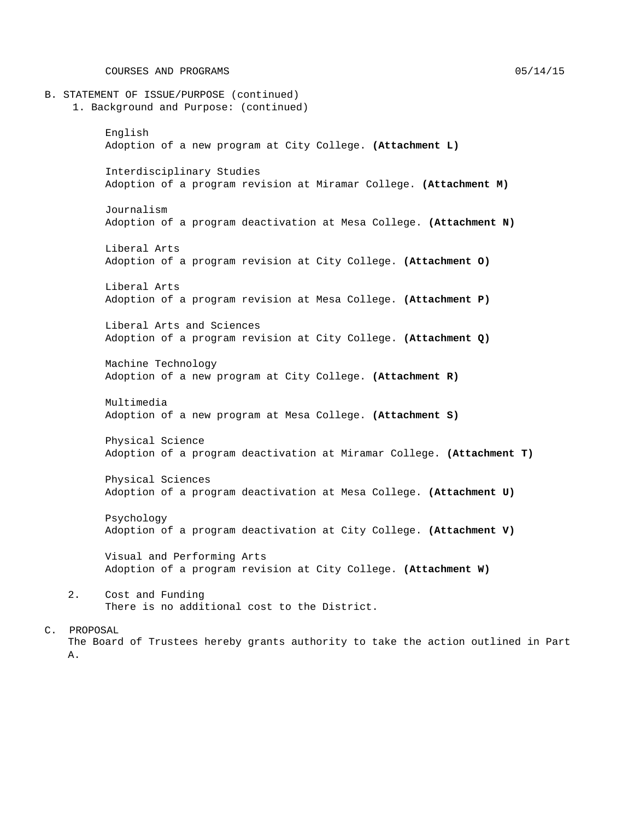COURSES AND PROGRAMS  $05/14/15$ 

B. STATEMENT OF ISSUE/PURPOSE (continued) 1. Background and Purpose: (continued) English Adoption of a new program at City College. **(Attachment L)** Interdisciplinary Studies Adoption of a program revision at Miramar College. **(Attachment M)** Journalism Adoption of a program deactivation at Mesa College. **(Attachment N)** Liberal Arts Adoption of a program revision at City College. **(Attachment O)** Liberal Arts Adoption of a program revision at Mesa College. **(Attachment P)** Liberal Arts and Sciences Adoption of a program revision at City College. **(Attachment Q)** Machine Technology Adoption of a new program at City College. **(Attachment R)** Multimedia Adoption of a new program at Mesa College. **(Attachment S)** Physical Science Adoption of a program deactivation at Miramar College. **(Attachment T)** Physical Sciences Adoption of a program deactivation at Mesa College. **(Attachment U)** Psychology Adoption of a program deactivation at City College. **(Attachment V)** Visual and Performing Arts Adoption of a program revision at City College. **(Attachment W)** 2. Cost and Funding There is no additional cost to the District.

#### C. PROPOSAL

The Board of Trustees hereby grants authority to take the action outlined in Part A.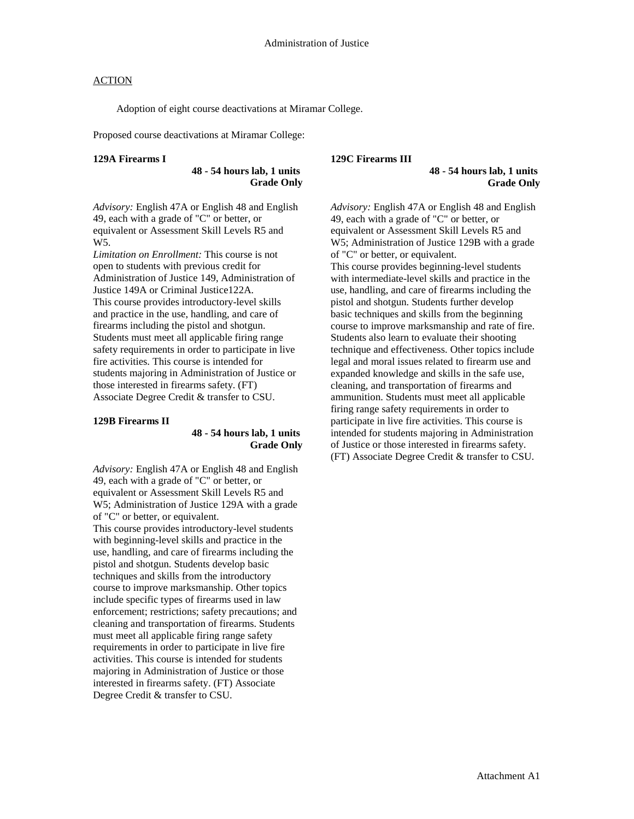Adoption of eight course deactivations at Miramar College.

Proposed course deactivations at Miramar College:

#### **129A Firearms I**

**48 - 54 hours lab, 1 units Grade Only**

*Advisory:* English 47A or English 48 and English 49, each with a grade of "C" or better, or equivalent or Assessment Skill Levels R5 and W5.

*Limitation on Enrollment:* This course is not open to students with previous credit for Administration of Justice 149, Administration of Justice 149A or Criminal Justice122A. This course provides introductory-level skills and practice in the use, handling, and care of firearms including the pistol and shotgun. Students must meet all applicable firing range safety requirements in order to participate in live fire activities. This course is intended for students majoring in Administration of Justice or those interested in firearms safety. (FT) Associate Degree Credit & transfer to CSU.

#### **129B Firearms II**

#### **48 - 54 hours lab, 1 units Grade Only**

*Advisory:* English 47A or English 48 and English 49, each with a grade of "C" or better, or equivalent or Assessment Skill Levels R5 and W5; Administration of Justice 129A with a grade of "C" or better, or equivalent. This course provides introductory-level students with beginning-level skills and practice in the use, handling, and care of firearms including the pistol and shotgun. Students develop basic techniques and skills from the introductory course to improve marksmanship. Other topics include specific types of firearms used in law enforcement; restrictions; safety precautions; and cleaning and transportation of firearms. Students must meet all applicable firing range safety requirements in order to participate in live fire activities. This course is intended for students majoring in Administration of Justice or those interested in firearms safety. (FT) Associate Degree Credit & transfer to CSU.

#### **129C Firearms III**

**48 - 54 hours lab, 1 units Grade Only**

*Advisory:* English 47A or English 48 and English 49, each with a grade of "C" or better, or equivalent or Assessment Skill Levels R5 and W5; Administration of Justice 129B with a grade of "C" or better, or equivalent. This course provides beginning-level students with intermediate-level skills and practice in the use, handling, and care of firearms including the pistol and shotgun. Students further develop basic techniques and skills from the beginning course to improve marksmanship and rate of fire. Students also learn to evaluate their shooting technique and effectiveness. Other topics include legal and moral issues related to firearm use and expanded knowledge and skills in the safe use, cleaning, and transportation of firearms and ammunition. Students must meet all applicable firing range safety requirements in order to participate in live fire activities. This course is intended for students majoring in Administration of Justice or those interested in firearms safety. (FT) Associate Degree Credit & transfer to CSU.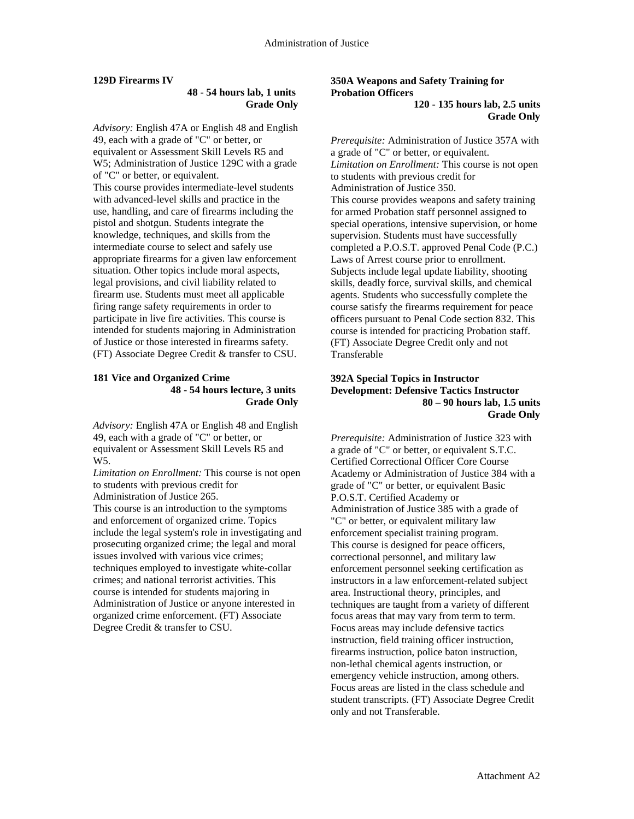#### **129D Firearms IV**

#### **48 - 54 hours lab, 1 units Grade Only**

*Advisory:* English 47A or English 48 and English 49, each with a grade of "C" or better, or equivalent or Assessment Skill Levels R5 and W5; Administration of Justice 129C with a grade of "C" or better, or equivalent. This course provides intermediate-level students with advanced-level skills and practice in the use, handling, and care of firearms including the pistol and shotgun. Students integrate the knowledge, techniques, and skills from the intermediate course to select and safely use appropriate firearms for a given law enforcement situation. Other topics include moral aspects, legal provisions, and civil liability related to firearm use. Students must meet all applicable firing range safety requirements in order to participate in live fire activities. This course is intended for students majoring in Administration of Justice or those interested in firearms safety. (FT) Associate Degree Credit & transfer to CSU.

#### **181 Vice and Organized Crime 48 - 54 hours lecture, 3 units Grade Only**

*Advisory:* English 47A or English 48 and English 49, each with a grade of "C" or better, or equivalent or Assessment Skill Levels R5 and W5.

*Limitation on Enrollment:* This course is not open to students with previous credit for Administration of Justice 265.

This course is an introduction to the symptoms and enforcement of organized crime. Topics include the legal system's role in investigating and prosecuting organized crime; the legal and moral issues involved with various vice crimes; techniques employed to investigate white-collar crimes; and national terrorist activities. This course is intended for students majoring in Administration of Justice or anyone interested in organized crime enforcement. (FT) Associate Degree Credit & transfer to CSU.

#### **350A Weapons and Safety Training for Probation Officers 120 - 135 hours lab, 2.5 units Grade Only**

*Prerequisite:* Administration of Justice 357A with a grade of "C" or better, or equivalent. *Limitation on Enrollment:* This course is not open to students with previous credit for Administration of Justice 350. This course provides weapons and safety training for armed Probation staff personnel assigned to special operations, intensive supervision, or home supervision. Students must have successfully completed a P.O.S.T. approved Penal Code (P.C.) Laws of Arrest course prior to enrollment. Subjects include legal update liability, shooting skills, deadly force, survival skills, and chemical agents. Students who successfully complete the course satisfy the firearms requirement for peace officers pursuant to Penal Code section 832. This course is intended for practicing Probation staff. (FT) Associate Degree Credit only and not Transferable

#### **392A Special Topics in Instructor Development: Defensive Tactics Instructor 80 – 90 hours lab, 1.5 units Grade Only**

*Prerequisite:* Administration of Justice 323 with a grade of "C" or better, or equivalent S.T.C. Certified Correctional Officer Core Course Academy or Administration of Justice 384 with a grade of "C" or better, or equivalent Basic P.O.S.T. Certified Academy or Administration of Justice 385 with a grade of "C" or better, or equivalent military law enforcement specialist training program. This course is designed for peace officers, correctional personnel, and military law enforcement personnel seeking certification as instructors in a law enforcement-related subject area. Instructional theory, principles, and techniques are taught from a variety of different focus areas that may vary from term to term. Focus areas may include defensive tactics instruction, field training officer instruction, firearms instruction, police baton instruction, non-lethal chemical agents instruction, or emergency vehicle instruction, among others. Focus areas are listed in the class schedule and student transcripts. (FT) Associate Degree Credit only and not Transferable.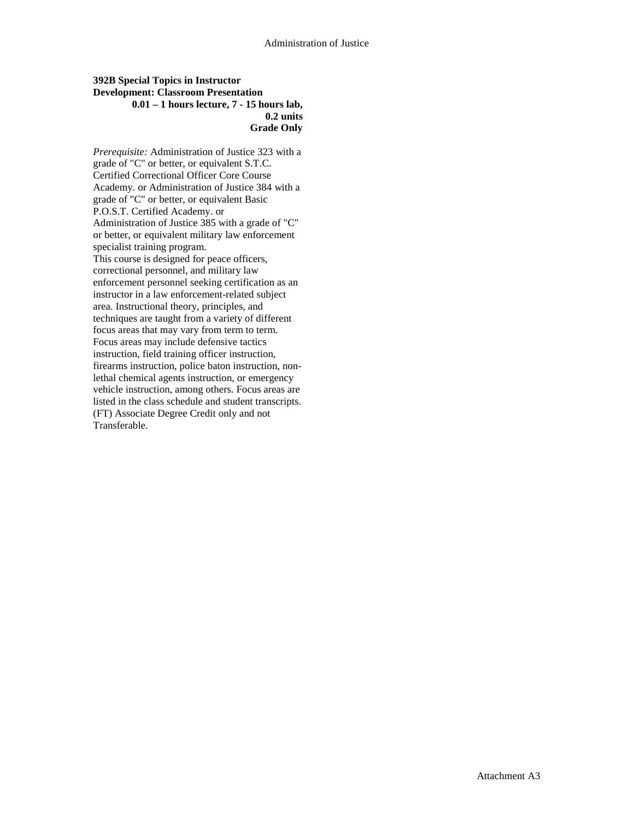#### **392B Special Topics in Instructor Development: Classroom Presentation 0.01 – 1 hours lecture, 7 - 15 hours lab, 0.2 units Grade Only**

*Prerequisite:* Administration of Justice 323 with a grade of "C" or better, or equivalent S.T.C. Certified Correctional Officer Core Course Academy. or Administration of Justice 384 with a grade of "C" or better, or equivalent Basic P.O.S.T. Certified Academy. or Administration of Justice 385 with a grade of "C" or better, or equivalent military law enforcement specialist training program. This course is designed for peace officers, correctional personnel, and military law enforcement personnel seeking certification as an instructor in a law enforcement-related subject area. Instructional theory, principles, and techniques are taught from a variety of different focus areas that may vary from term to term. Focus areas may include defensive tactics instruction, field training officer instruction, firearms instruction, police baton instruction, nonlethal chemical agents instruction, or emergency vehicle instruction, among others. Focus areas are listed in the class schedule and student transcripts. (FT) Associate Degree Credit only and not Transferable.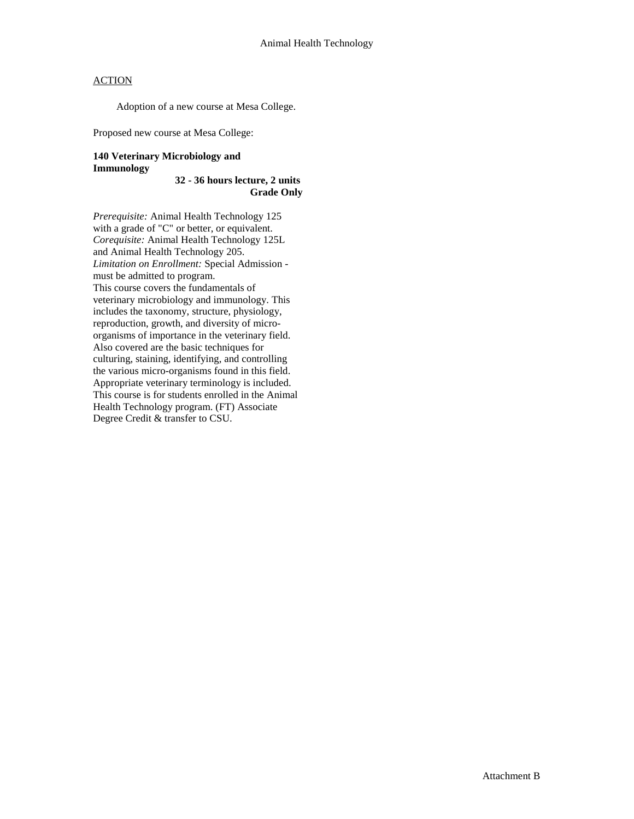Adoption of a new course at Mesa College.

Proposed new course at Mesa College:

#### **140 Veterinary Microbiology and Immunology**

**32 - 36 hours lecture, 2 units Grade Only**

*Prerequisite:* Animal Health Technology 125 with a grade of "C" or better, or equivalent. *Corequisite:* Animal Health Technology 125L and Animal Health Technology 205. *Limitation on Enrollment:* Special Admission must be admitted to program. This course covers the fundamentals of veterinary microbiology and immunology. This includes the taxonomy, structure, physiology, reproduction, growth, and diversity of microorganisms of importance in the veterinary field. Also covered are the basic techniques for culturing, staining, identifying, and controlling the various micro-organisms found in this field. Appropriate veterinary terminology is included. This course is for students enrolled in the Animal Health Technology program. (FT) Associate Degree Credit & transfer to CSU.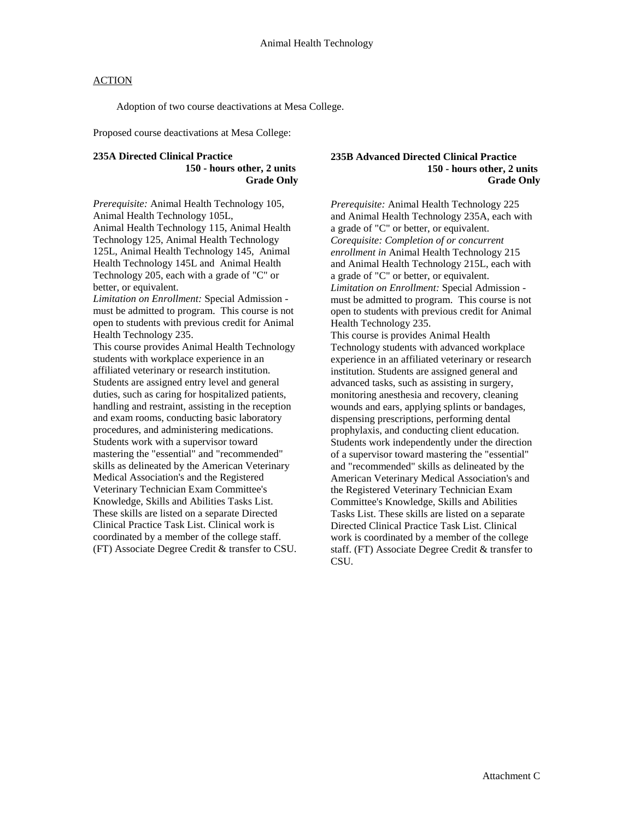Adoption of two course deactivations at Mesa College.

Proposed course deactivations at Mesa College:

#### **235A Directed Clinical Practice 150 - hours other, 2 units Grade Only**

*Prerequisite:* Animal Health Technology 105, Animal Health Technology 105L, Animal Health Technology 115, Animal Health Technology 125, Animal Health Technology 125L, Animal Health Technology 145, Animal Health Technology 145L and Animal Health Technology 205, each with a grade of "C" or better, or equivalent.

*Limitation on Enrollment:* Special Admission must be admitted to program. This course is not open to students with previous credit for Animal Health Technology 235.

This course provides Animal Health Technology students with workplace experience in an affiliated veterinary or research institution. Students are assigned entry level and general duties, such as caring for hospitalized patients, handling and restraint, assisting in the reception and exam rooms, conducting basic laboratory procedures, and administering medications. Students work with a supervisor toward mastering the "essential" and "recommended" skills as delineated by the American Veterinary Medical Association's and the Registered Veterinary Technician Exam Committee's Knowledge, Skills and Abilities Tasks List. These skills are listed on a separate Directed Clinical Practice Task List. Clinical work is coordinated by a member of the college staff. (FT) Associate Degree Credit & transfer to CSU.

#### **235B Advanced Directed Clinical Practice 150 - hours other, 2 units Grade Only**

*Prerequisite:* Animal Health Technology 225 and Animal Health Technology 235A, each with a grade of "C" or better, or equivalent. *Corequisite: Completion of or concurrent enrollment in* Animal Health Technology 215 and Animal Health Technology 215L, each with a grade of "C" or better, or equivalent. *Limitation on Enrollment:* Special Admission must be admitted to program. This course is not open to students with previous credit for Animal Health Technology 235. This course is provides Animal Health Technology students with advanced workplace experience in an affiliated veterinary or research institution. Students are assigned general and advanced tasks, such as assisting in surgery, monitoring anesthesia and recovery, cleaning wounds and ears, applying splints or bandages, dispensing prescriptions, performing dental prophylaxis, and conducting client education. Students work independently under the direction of a supervisor toward mastering the "essential" and "recommended" skills as delineated by the American Veterinary Medical Association's and the Registered Veterinary Technician Exam Committee's Knowledge, Skills and Abilities Tasks List. These skills are listed on a separate Directed Clinical Practice Task List. Clinical work is coordinated by a member of the college staff. (FT) Associate Degree Credit & transfer to CSU.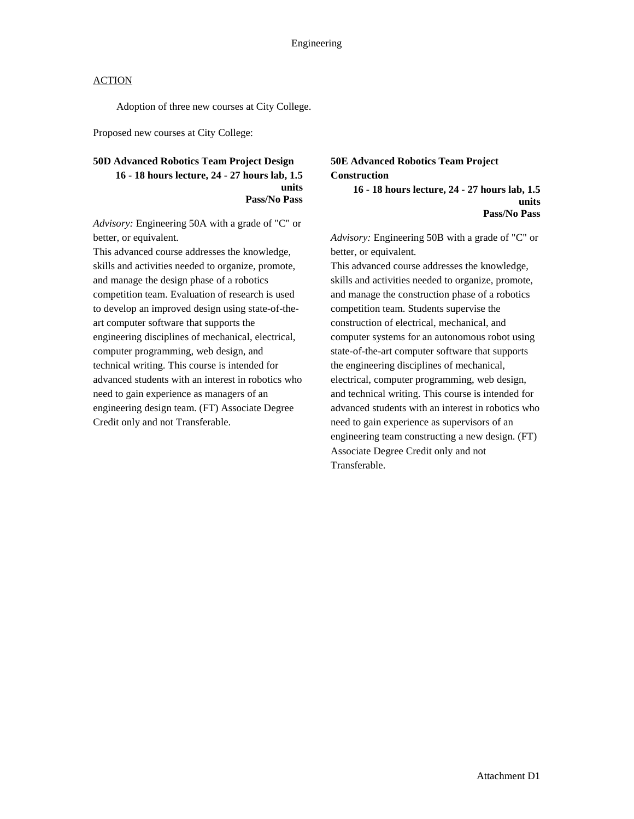Adoption of three new courses at City College.

Proposed new courses at City College:

#### **50D Advanced Robotics Team Project Design 16 - 18 hours lecture, 24 - 27 hours lab, 1.5 units Pass/No Pass**

*Advisory:* Engineering 50A with a grade of "C" or better, or equivalent.

This advanced course addresses the knowledge, skills and activities needed to organize, promote, and manage the design phase of a robotics competition team. Evaluation of research is used to develop an improved design using state-of-theart computer software that supports the engineering disciplines of mechanical, electrical, computer programming, web design, and technical writing. This course is intended for advanced students with an interest in robotics who need to gain experience as managers of an engineering design team. (FT) Associate Degree Credit only and not Transferable.

## **50E Advanced Robotics Team Project Construction**

**16 - 18 hours lecture, 24 - 27 hours lab, 1.5 units Pass/No Pass**

*Advisory:* Engineering 50B with a grade of "C" or better, or equivalent.

This advanced course addresses the knowledge, skills and activities needed to organize, promote, and manage the construction phase of a robotics competition team. Students supervise the construction of electrical, mechanical, and computer systems for an autonomous robot using state-of-the-art computer software that supports the engineering disciplines of mechanical, electrical, computer programming, web design, and technical writing. This course is intended for advanced students with an interest in robotics who need to gain experience as supervisors of an engineering team constructing a new design. (FT) Associate Degree Credit only and not Transferable.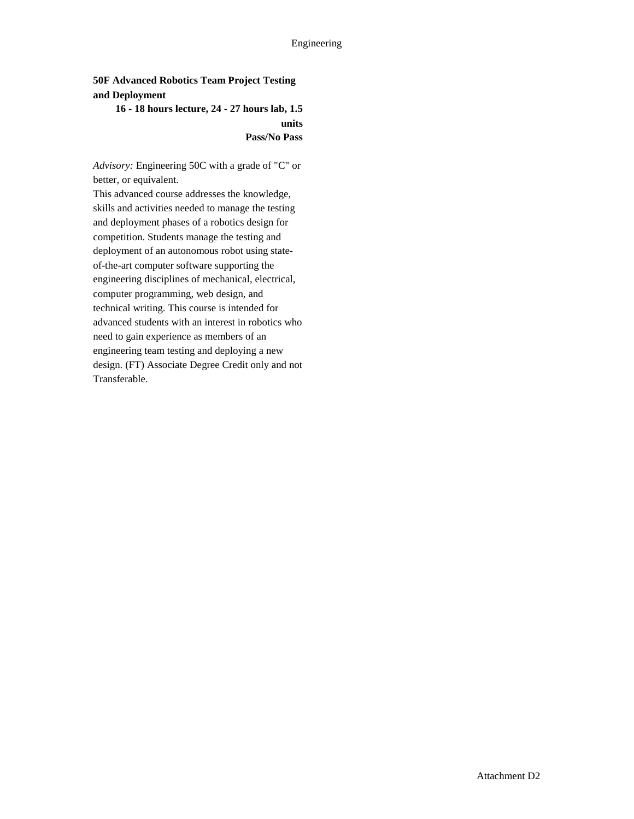### **50F Advanced Robotics Team Project Testing and Deployment**

### **16 - 18 hours lecture, 24 - 27 hours lab, 1.5 units Pass/No Pass**

*Advisory:* Engineering 50C with a grade of "C" or better, or equivalent.

This advanced course addresses the knowledge, skills and activities needed to manage the testing and deployment phases of a robotics design for competition. Students manage the testing and deployment of an autonomous robot using stateof-the-art computer software supporting the engineering disciplines of mechanical, electrical, computer programming, web design, and technical writing. This course is intended for advanced students with an interest in robotics who need to gain experience as members of an engineering team testing and deploying a new design. (FT) Associate Degree Credit only and not Transferable.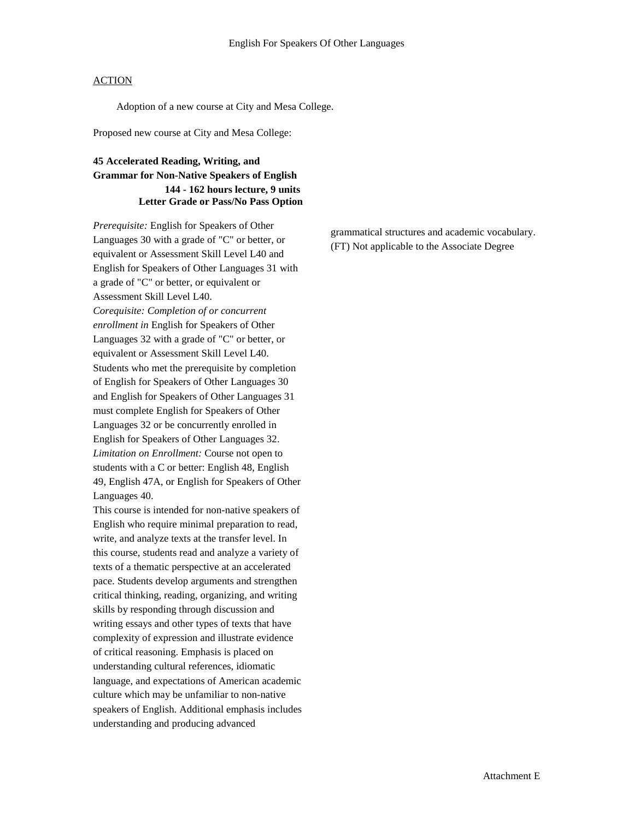Adoption of a new course at City and Mesa College.

Proposed new course at City and Mesa College:

## **45 Accelerated Reading, Writing, and Grammar for Non-Native Speakers of English 144 - 162 hours lecture, 9 units Letter Grade or Pass/No Pass Option**

*Prerequisite:* English for Speakers of Other Languages 30 with a grade of "C" or better, or equivalent or Assessment Skill Level L40 and English for Speakers of Other Languages 31 with a grade of "C" or better, or equivalent or Assessment Skill Level L40. *Corequisite: Completion of or concurrent enrollment in* English for Speakers of Other Languages 32 with a grade of "C" or better, or equivalent or Assessment Skill Level L40. Students who met the prerequisite by completion of English for Speakers of Other Languages 30 and English for Speakers of Other Languages 31 must complete English for Speakers of Other Languages 32 or be concurrently enrolled in English for Speakers of Other Languages 32. *Limitation on Enrollment:* Course not open to students with a C or better: English 48, English 49, English 47A, or English for Speakers of Other Languages 40.

This course is intended for non-native speakers of English who require minimal preparation to read, write, and analyze texts at the transfer level. In this course, students read and analyze a variety of texts of a thematic perspective at an accelerated pace. Students develop arguments and strengthen critical thinking, reading, organizing, and writing skills by responding through discussion and writing essays and other types of texts that have complexity of expression and illustrate evidence of critical reasoning. Emphasis is placed on understanding cultural references, idiomatic language, and expectations of American academic culture which may be unfamiliar to non-native speakers of English. Additional emphasis includes understanding and producing advanced

grammatical structures and academic vocabulary. (FT) Not applicable to the Associate Degree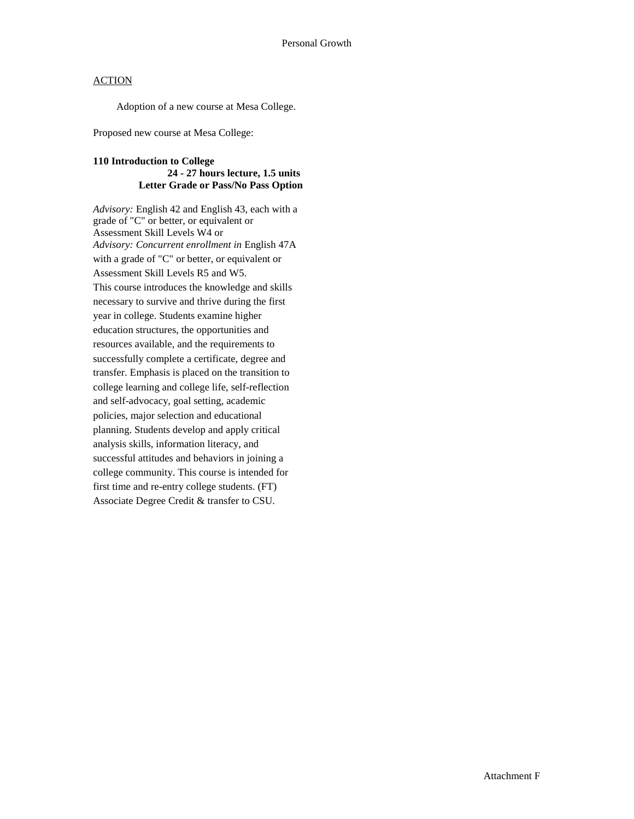Adoption of a new course at Mesa College.

Proposed new course at Mesa College:

#### **110 Introduction to College 24 - 27 hours lecture, 1.5 units Letter Grade or Pass/No Pass Option**

*Advisory:* English 42 and English 43, each with a grade of "C" or better, or equivalent or Assessment Skill Levels W4 or *Advisory: Concurrent enrollment in* English 47A with a grade of "C" or better, or equivalent or Assessment Skill Levels R5 and W5. This course introduces the knowledge and skills necessary to survive and thrive during the first year in college. Students examine higher education structures, the opportunities and resources available, and the requirements to successfully complete a certificate, degree and transfer. Emphasis is placed on the transition to college learning and college life, self-reflection and self-advocacy, goal setting, academic policies, major selection and educational planning. Students develop and apply critical analysis skills, information literacy, and successful attitudes and behaviors in joining a college community. This course is intended for first time and re-entry college students. (FT) Associate Degree Credit & transfer to CSU.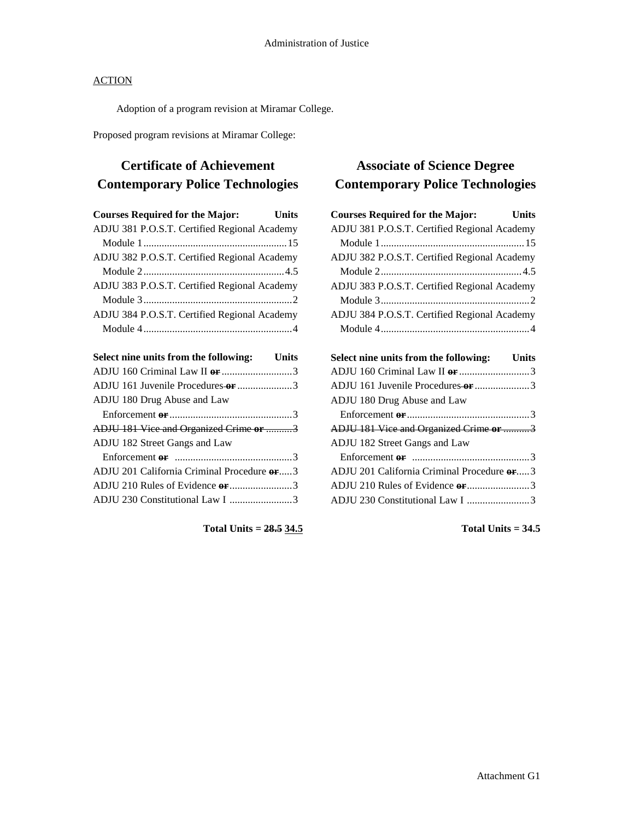Adoption of a program revision at Miramar College.

Proposed program revisions at Miramar College:

# **Certificate of Achievement Contemporary Police Technologies**

| <b>Courses Required for the Major:</b>       | <b>Units</b> |
|----------------------------------------------|--------------|
| ADJU 381 P.O.S.T. Certified Regional Academy |              |
|                                              |              |
| ADJU 382 P.O.S.T. Certified Regional Academy |              |
|                                              |              |
| ADJU 383 P.O.S.T. Certified Regional Academy |              |
|                                              |              |
| ADJU 384 P.O.S.T. Certified Regional Academy |              |
|                                              |              |
|                                              |              |

| Select nine units from the following: Units |  |
|---------------------------------------------|--|
| ADJU 160 Criminal Law II or 3               |  |
| ADJU 161 Juvenile Procedures or 3           |  |
| ADJU 180 Drug Abuse and Law                 |  |
|                                             |  |
| ADJU 181 Vice and Organized Crime or 3      |  |
| ADJU 182 Street Gangs and Law               |  |
|                                             |  |
| ADJU 201 California Criminal Procedure or3  |  |
| ADJU 210 Rules of Evidence or 3             |  |
| ADJU 230 Constitutional Law I 3             |  |
|                                             |  |

**Total Units = 28.5 34.5**

# **Associate of Science Degree Contemporary Police Technologies**

| <b>Courses Required for the Major:</b>       | <b>Units</b> |
|----------------------------------------------|--------------|
| ADJU 381 P.O.S.T. Certified Regional Academy |              |
|                                              |              |
| ADJU 382 P.O.S.T. Certified Regional Academy |              |
|                                              |              |
| ADJU 383 P.O.S.T. Certified Regional Academy |              |
|                                              |              |
| ADJU 384 P.O.S.T. Certified Regional Academy |              |
|                                              |              |
|                                              |              |
| Select nine units from the following: Units  |              |
|                                              |              |
| ADJU 161 Juvenile Procedures or 3            |              |
| ADJU 180 Drug Abuse and Law                  |              |
|                                              |              |
|                                              |              |
| ADJU 181 Vice and Organized Crime or 3       |              |
| ADJU 182 Street Gangs and Law                |              |
|                                              |              |
| ADJU 201 California Criminal Procedure or3   |              |
|                                              |              |
| ADJU 230 Constitutional Law I 3              |              |

**Total Units = 34.5**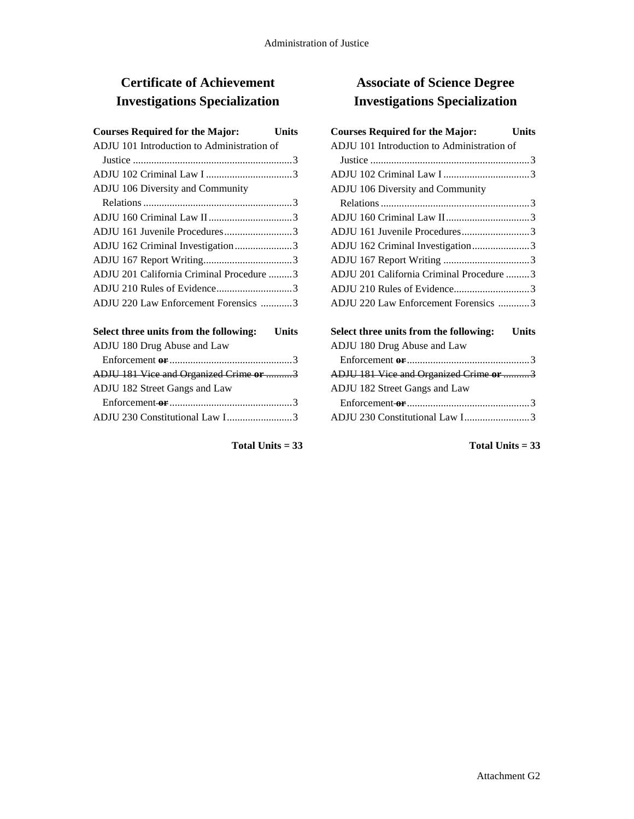# **Certificate of Achievement Investigations Specialization**

| <b>Courses Required for the Major:</b>                                                   | Units        |
|------------------------------------------------------------------------------------------|--------------|
| ADJU 101 Introduction to Administration of                                               |              |
|                                                                                          |              |
|                                                                                          |              |
| ADJU 106 Diversity and Community                                                         |              |
|                                                                                          |              |
|                                                                                          |              |
| ADJU 161 Juvenile Procedures3                                                            |              |
| ADJU 162 Criminal Investigation3                                                         |              |
|                                                                                          |              |
| ADJU 201 California Criminal Procedure 3                                                 |              |
| ADJU 210 Rules of Evidence3                                                              |              |
| ADJU 220 Law Enforcement Forensics 3                                                     |              |
|                                                                                          |              |
| Select three units from the following:                                                   | <b>Units</b> |
| ADJU 180 Drug Abuse and Law                                                              |              |
|                                                                                          |              |
| ADJU 181 Vice and Organized Crime or 3                                                   |              |
| ADJU 182 Street Gangs and Law                                                            |              |
| Enforcement-or $\dots \dots \dots \dots \dots \dots \dots \dots \dots \dots \dots \dots$ |              |
| ADJU 230 Constitutional Law I3                                                           |              |
|                                                                                          |              |

### **Total Units = 33**

# **Associate of Science Degree Investigations Specialization**

| <b>Courses Required for the Major:</b>     | Units |
|--------------------------------------------|-------|
| ADJU 101 Introduction to Administration of |       |
|                                            |       |
|                                            |       |
| ADJU 106 Diversity and Community           |       |
|                                            |       |
|                                            |       |
| ADJU 161 Juvenile Procedures3              |       |
| ADJU 162 Criminal Investigation3           |       |
|                                            |       |
| ADJU 201 California Criminal Procedure 3   |       |
|                                            |       |
| ADJU 220 Law Enforcement Forensics 3       |       |
|                                            |       |

| Select three units from the following: Units                                             |  |
|------------------------------------------------------------------------------------------|--|
| ADJU 180 Drug Abuse and Law                                                              |  |
|                                                                                          |  |
| ADJU 181 Vice and Organized Crime or 3                                                   |  |
| ADJU 182 Street Gangs and Law                                                            |  |
| Enforcement-or $\dots \dots \dots \dots \dots \dots \dots \dots \dots \dots \dots \dots$ |  |
|                                                                                          |  |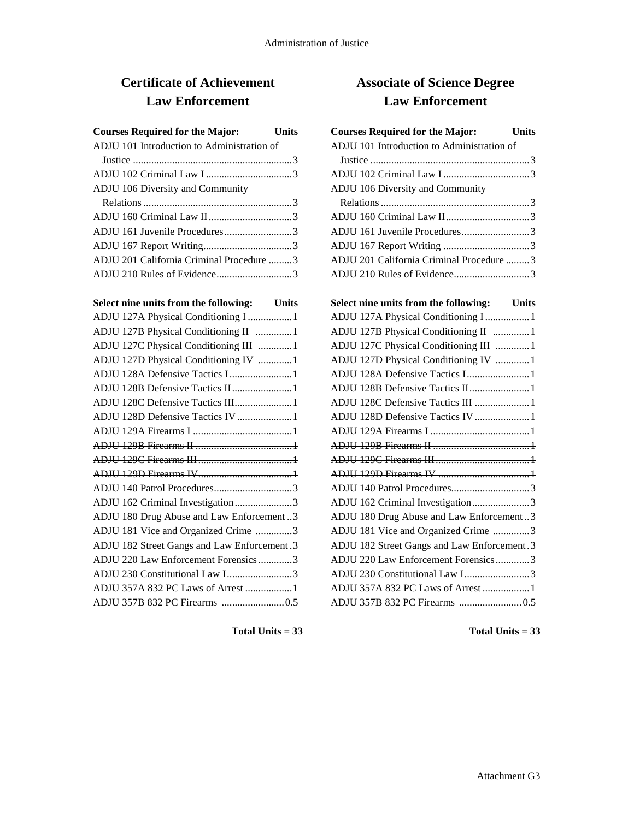# **Certificate of Achievement Law Enforcement**

| <b>Courses Required for the Major:</b><br><b>Units</b> |  |
|--------------------------------------------------------|--|
| ADJU 101 Introduction to Administration of             |  |
|                                                        |  |
|                                                        |  |
| ADJU 106 Diversity and Community                       |  |
|                                                        |  |
|                                                        |  |
| ADJU 161 Juvenile Procedures3                          |  |
|                                                        |  |
| ADJU 201 California Criminal Procedure 3               |  |
|                                                        |  |

| Select nine units from the following: Units |  |
|---------------------------------------------|--|
| ADJU 127A Physical Conditioning I  1        |  |
| ADJU 127B Physical Conditioning II 1        |  |
| ADJU 127C Physical Conditioning III 1       |  |
| ADJU 127D Physical Conditioning IV 1        |  |
| ADJU 128A Defensive Tactics I  1            |  |
| ADJU 128B Defensive Tactics II1             |  |
| ADJU 128C Defensive Tactics III 1           |  |
| ADJU 128D Defensive Tactics IV  1           |  |
|                                             |  |
|                                             |  |
|                                             |  |
|                                             |  |
| ADJU 140 Patrol Procedures3                 |  |
| ADJU 162 Criminal Investigation3            |  |
| ADJU 180 Drug Abuse and Law Enforcement3    |  |
| ADJU 181 Vice and Organized Crime 3         |  |
| ADJU 182 Street Gangs and Law Enforcement.3 |  |
| ADJU 220 Law Enforcement Forensics3         |  |
| ADJU 230 Constitutional Law I3              |  |
| ADJU 357A 832 PC Laws of Arrest  1          |  |
|                                             |  |

**Total Units = 33**

# **Associate of Science Degree Law Enforcement**

| <b>Courses Required for the Major:</b>     | <b>Units</b> |
|--------------------------------------------|--------------|
| ADJU 101 Introduction to Administration of |              |
|                                            |              |
|                                            |              |
| ADJU 106 Diversity and Community           |              |
|                                            |              |
|                                            |              |
| ADJU 161 Juvenile Procedures3              |              |
|                                            |              |
| ADJU 201 California Criminal Procedure  3  |              |
|                                            |              |

| Select nine units from the following: Units |
|---------------------------------------------|
| ADJU 127A Physical Conditioning I  1        |
| ADJU 127B Physical Conditioning II  1       |
| ADJU 127C Physical Conditioning III  1      |
| ADJU 127D Physical Conditioning IV  1       |
| ADJU 128A Defensive Tactics I 1             |
| ADJU 128B Defensive Tactics II 1            |
| ADJU 128C Defensive Tactics III  1          |
| ADJU 128D Defensive Tactics IV  1           |
|                                             |
|                                             |
|                                             |
|                                             |
|                                             |
| ADJU 162 Criminal Investigation3            |
| ADJU 180 Drug Abuse and Law Enforcement3    |
| ADJU 181 Vice and Organized Crime 3         |
| ADJU 182 Street Gangs and Law Enforcement.3 |
| ADJU 220 Law Enforcement Forensics3         |
| ADJU 230 Constitutional Law I3              |
| ADJU 357A 832 PC Laws of Arrest  1          |
|                                             |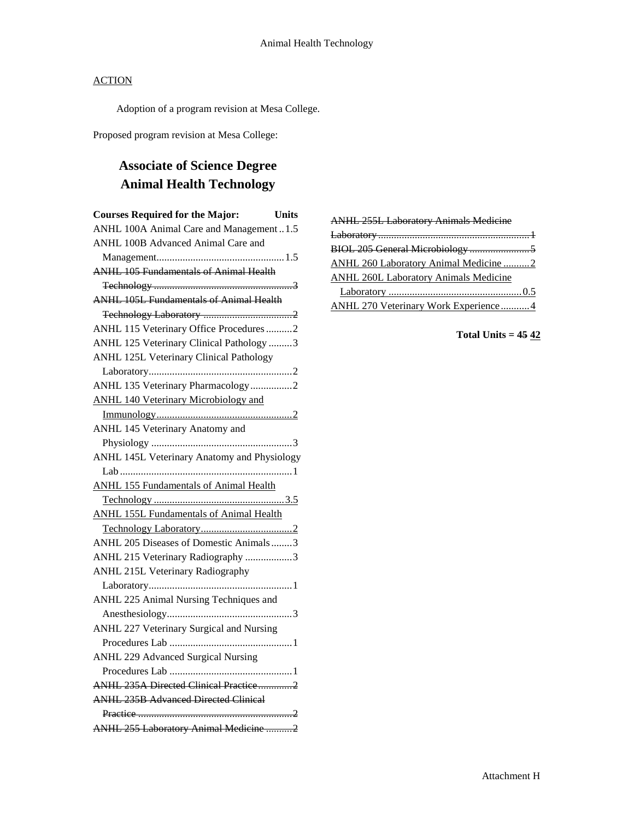Adoption of a program revision at Mesa College.

Proposed program revision at Mesa College:

# **Associate of Science Degree Animal Health Technology**

| <b>Courses Required for the Major:</b>         | <b>Units</b> |
|------------------------------------------------|--------------|
| ANHL 100A Animal Care and Management 1.5       |              |
| ANHL 100B Advanced Animal Care and             |              |
|                                                |              |
| <b>ANHL 105 Fundamentals of Animal Health</b>  |              |
|                                                |              |
| <b>ANHL 105L Fundamentals of Animal Health</b> |              |
|                                                |              |
| ANHL 115 Veterinary Office Procedures2         |              |
| ANHL 125 Veterinary Clinical Pathology 3       |              |
| ANHL 125L Veterinary Clinical Pathology        |              |
|                                                |              |
| ANHL 135 Veterinary Pharmacology2              |              |
| <b>ANHL 140 Veterinary Microbiology and</b>    |              |
|                                                |              |
| ANHL 145 Veterinary Anatomy and                |              |
|                                                | . 3          |
| ANHL 145L Veterinary Anatomy and Physiology    |              |
|                                                |              |
| <b>ANHL 155 Fundamentals of Animal Health</b>  |              |
|                                                |              |
| <b>ANHL 155L Fundamentals of Animal Health</b> |              |
|                                                |              |
| ANHL 205 Diseases of Domestic Animals3         |              |
| ANHL 215 Veterinary Radiography 3              |              |
| ANHL 215L Veterinary Radiography               |              |
|                                                |              |
| ANHL 225 Animal Nursing Techniques and         |              |
|                                                |              |
| ANHL 227 Veterinary Surgical and Nursing       |              |
|                                                |              |
| <b>ANHL 229 Advanced Surgical Nursing</b>      |              |
|                                                |              |
| ANHL 235A Directed Clinical Practice2          |              |
| <b>ANHL 235B Advanced Directed Clinical</b>    |              |
|                                                |              |
| ANHL 255 Laboratory Animal Medicine 2          |              |
|                                                |              |

| <b>ANHL 255L Laboratory Animals Medicine</b> |
|----------------------------------------------|
|                                              |
|                                              |
| ANHL 260 Laboratory Animal Medicine 2        |
| ANHL 260L Laboratory Animals Medicine        |
|                                              |
| ANHL 270 Veterinary Work Experience 4        |

## **Total Units = 45 42**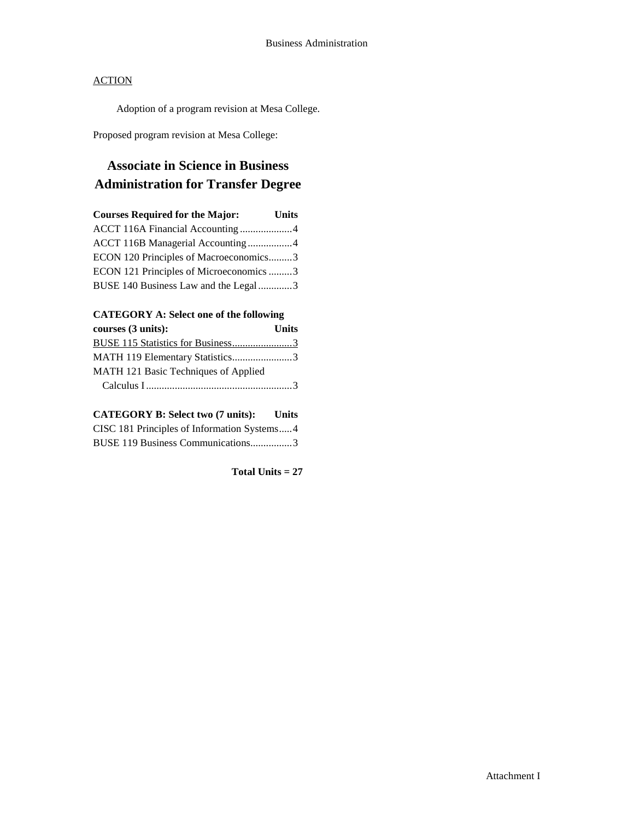Adoption of a program revision at Mesa College.

Proposed program revision at Mesa College:

# **Associate in Science in Business Administration for Transfer Degree**

| <b>Courses Required for the Major:</b>  | <b>Units</b> |
|-----------------------------------------|--------------|
| ACCT 116A Financial Accounting4         |              |
| ACCT 116B Managerial Accounting 4       |              |
| ECON 120 Principles of Macroeconomics3  |              |
| ECON 121 Principles of Microeconomics 3 |              |
| BUSE 140 Business Law and the Legal 3   |              |

### **CATEGORY A: Select one of the following**

| courses (3 units):                   | <b>Units</b> |
|--------------------------------------|--------------|
| BUSE 115 Statistics for Business3    |              |
| MATH 119 Elementary Statistics3      |              |
| MATH 121 Basic Techniques of Applied |              |
|                                      |              |

### **CATEGORY B: Select two (7 units): Units** CISC 181 Principles of Information Systems.....4 BUSE 119 Business Communications................3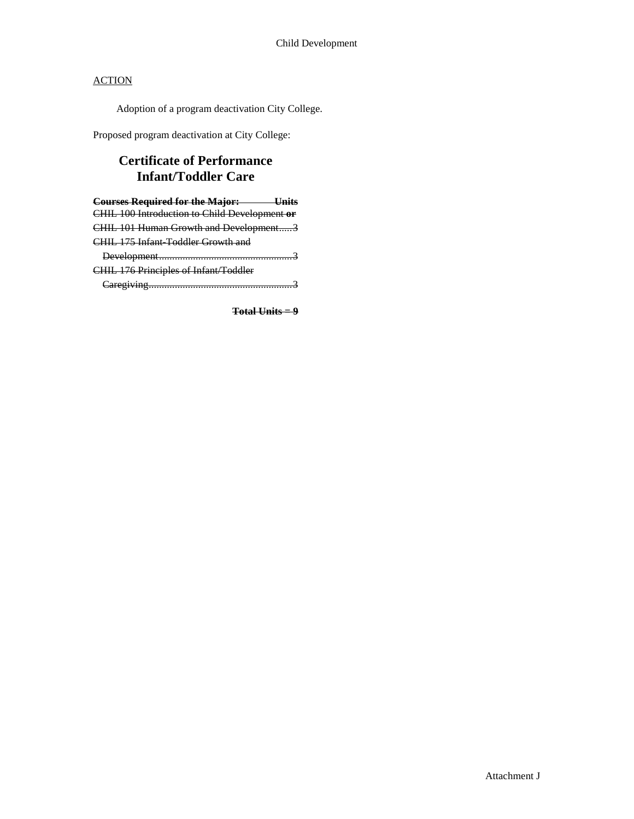Adoption of a program deactivation City College.

Proposed program deactivation at City College:

## **Certificate of Performance Infant/Toddler Care**

**Courses Required for the Major: Units** CHIL 100 Introduction to Child Development **or**  CHIL 101 Human Growth and Development.....3 CHIL 175 Infant-Toddler Growth and Development...................................................3 CHIL 176 Principles of Infant/Toddler

Caregiving.......................................................3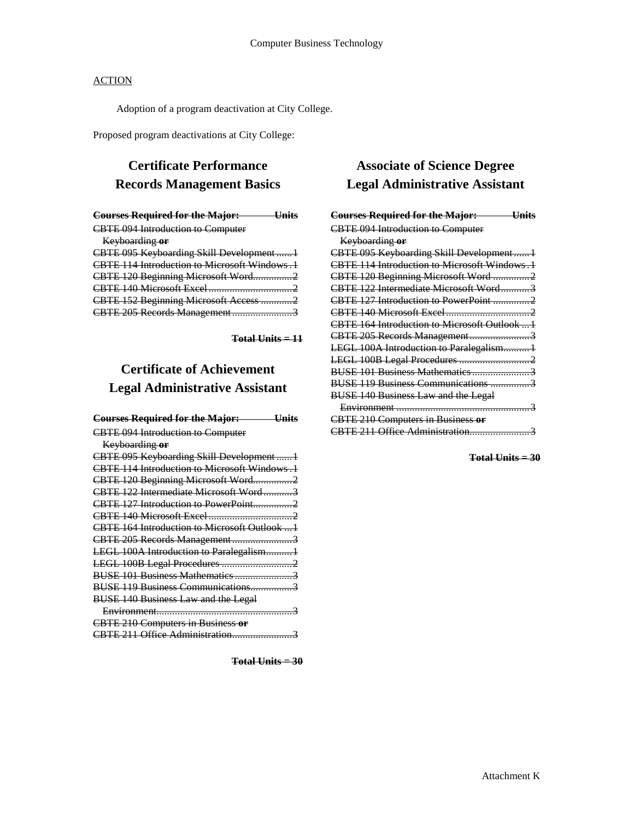Adoption of a program deactivation at City College.

Proposed program deactivations at City College:

# **Certificate Performance Records Management Basics**

| <b>Courses Required for the Major: Units</b> |
|----------------------------------------------|
| <b>CBTE 094 Introduction to Computer</b>     |
| Keyboarding or                               |
| CBTE 095 Keyboarding Skill Development  1    |
| CBTE 114 Introduction to Microsoft Windows.1 |
| CBTE 120 Beginning Microsoft Word2           |
|                                              |
| CBTE 152 Beginning Microsoft Access 2        |
| CBTE 205 Records Management3                 |
|                                              |

**Total Units = 11**

## **Certificate of Achievement Legal Administrative Assistant**

| <b>Courses Required for the Major:</b><br>— Llnite |
|----------------------------------------------------|
| <b>CBTE 094 Introduction to Computer</b>           |
| Keyboarding or                                     |
| CBTE 095 Keyboarding Skill Development 1           |
| CBTE 114 Introduction to Microsoft Windows.1       |
| CBTE 120 Beginning Microsoft Word2                 |
| CBTE 122 Intermediate Microsoft Word3              |
| CBTE 127 Introduction to PowerPoint2               |
|                                                    |
| CBTE 164 Introduction to Microsoft Outlook  1      |
| CBTE 205 Records Management3                       |
| LEGL 100A Introduction to Paralegalism1            |
|                                                    |
|                                                    |
|                                                    |
| <b>BUSE 140 Business Law and the Legal</b>         |
|                                                    |
| <b>CBTE 210 Computers in Business or</b>           |
| CBTE 211 Office Administration3                    |

**Total Units = 30**

## **Associate of Science Degree Legal Administrative Assistant**

| <b>Courses Required for the Major:</b><br><del>Hnits</del> |
|------------------------------------------------------------|
| <b>CBTE 094 Introduction to Computer</b>                   |
| Keyboarding or                                             |
| CBTE 095 Keyboarding Skill Development1                    |
| CBTE 114 Introduction to Microsoft Windows.1               |
| CBTE 120 Beginning Microsoft Word 2                        |
| CBTE 122 Intermediate Microsoft Word3                      |
|                                                            |
|                                                            |
| CBTE 164 Introduction to Microsoft Outlook  1              |
| CBTE 205 Records Management3                               |
| LEGL 100A Introduction to Paralegalism1                    |
|                                                            |
|                                                            |
| BUSE 119 Business Communications 3                         |
| <b>BUSE 140 Business Law and the Legal</b>                 |
|                                                            |
| <b>CBTE 210 Computers in Business or</b>                   |
|                                                            |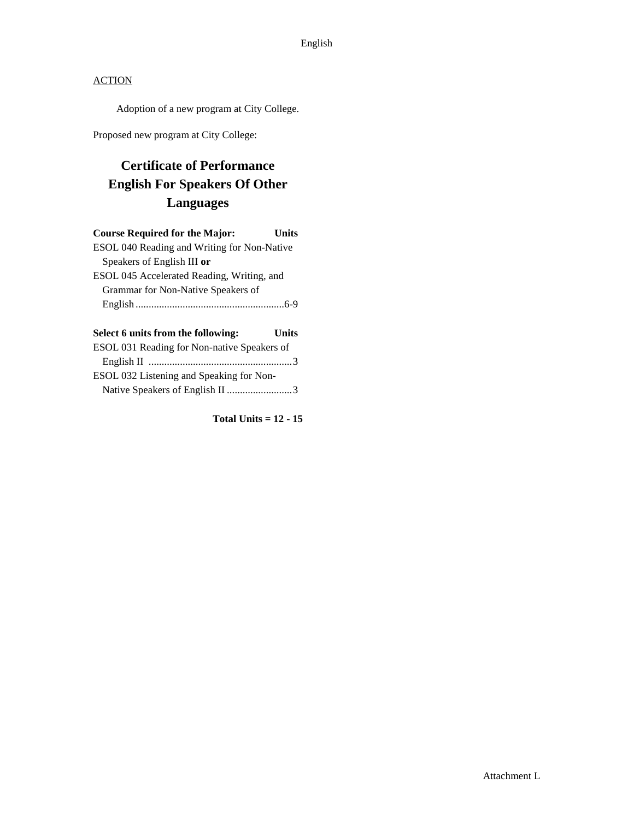Adoption of a new program at City College.

Proposed new program at City College:

# **Certificate of Performance English For Speakers Of Other Languages**

| <b>Course Required for the Major:</b>       | Units |
|---------------------------------------------|-------|
| ESOL 040 Reading and Writing for Non-Native |       |
| Speakers of English III or                  |       |
| ESOL 045 Accelerated Reading, Writing, and  |       |
| Grammar for Non-Native Speakers of          |       |
|                                             |       |
|                                             |       |

| Select 6 units from the following:          | <b>Units</b> |
|---------------------------------------------|--------------|
| ESOL 031 Reading for Non-native Speakers of |              |
|                                             |              |
| ESOL 032 Listening and Speaking for Non-    |              |
|                                             |              |

**Total Units = 12 - 15**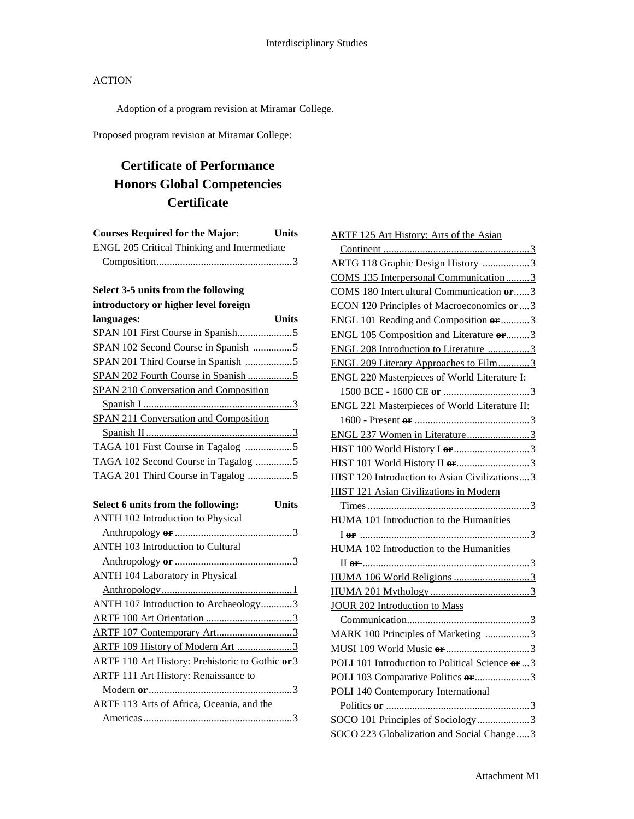Adoption of a program revision at Miramar College.

Proposed program revision at Miramar College:

# **Certificate of Performance Honors Global Competencies Certificate**

| <b>Courses Required for the Major:</b>             | <b>Units</b> |
|----------------------------------------------------|--------------|
| <b>ENGL 205 Critical Thinking and Intermediate</b> |              |
|                                                    |              |

## **Select 3-5 units from the following**

| introductory or higher level foreign               |  |
|----------------------------------------------------|--|
| languages:<br><b>Units</b>                         |  |
|                                                    |  |
|                                                    |  |
|                                                    |  |
|                                                    |  |
| <b>SPAN 210 Conversation and Composition</b>       |  |
|                                                    |  |
| SPAN 211 Conversation and Composition              |  |
|                                                    |  |
| TAGA 101 First Course in Tagalog 5                 |  |
| TAGA 102 Second Course in Tagalog 5                |  |
|                                                    |  |
|                                                    |  |
| <b>Units</b><br>Select 6 units from the following: |  |
|                                                    |  |
| ANTH 102 Introduction to Physical                  |  |
|                                                    |  |
| ANTH 103 Introduction to Cultural                  |  |
|                                                    |  |
| <b>ANTH 104 Laboratory in Physical</b>             |  |
|                                                    |  |
| ANTH 107 Introduction to Archaeology3              |  |
|                                                    |  |
|                                                    |  |
| ARTF 109 History of Modern Art 3                   |  |
| ARTF 110 Art History: Prehistoric to Gothic or 3   |  |
| ARTF 111 Art History: Renaissance to               |  |
| . 3                                                |  |
| ARTF 113 Arts of Africa, Oceania, and the          |  |

| <b>ARTF 125 Art History: Arts of the Asian</b>   |
|--------------------------------------------------|
|                                                  |
| ARTG 118 Graphic Design History 3                |
| COMS 135 Interpersonal Communication3            |
| COMS 180 Intercultural Communication or3         |
| ECON 120 Principles of Macroeconomics or3        |
| ENGL 101 Reading and Composition or 3            |
| ENGL 105 Composition and Literature or3          |
| ENGL 208 Introduction to Literature 3            |
| <b>ENGL 209 Literary Approaches to Film3</b>     |
| ENGL 220 Masterpieces of World Literature I:     |
|                                                  |
| ENGL 221 Masterpieces of World Literature II:    |
|                                                  |
| ENGL 237 Women in Literature3                    |
|                                                  |
|                                                  |
| HIST 120 Introduction to Asian Civilizations 3   |
| HIST 121 Asian Civilizations in Modern           |
|                                                  |
| HUMA 101 Introduction to the Humanities          |
|                                                  |
| HUMA 102 Introduction to the Humanities          |
| II or $\frac{1}{3}$                              |
|                                                  |
|                                                  |
| <b>JOUR 202 Introduction to Mass</b>             |
|                                                  |
| MARK 100 Principles of Marketing 3               |
|                                                  |
| POLI 101 Introduction to Political Science or  3 |
|                                                  |
| POLI 140 Contemporary International              |
|                                                  |
| SOCO 101 Principles of Sociology3                |
| SOCO 223 Globalization and Social Change3        |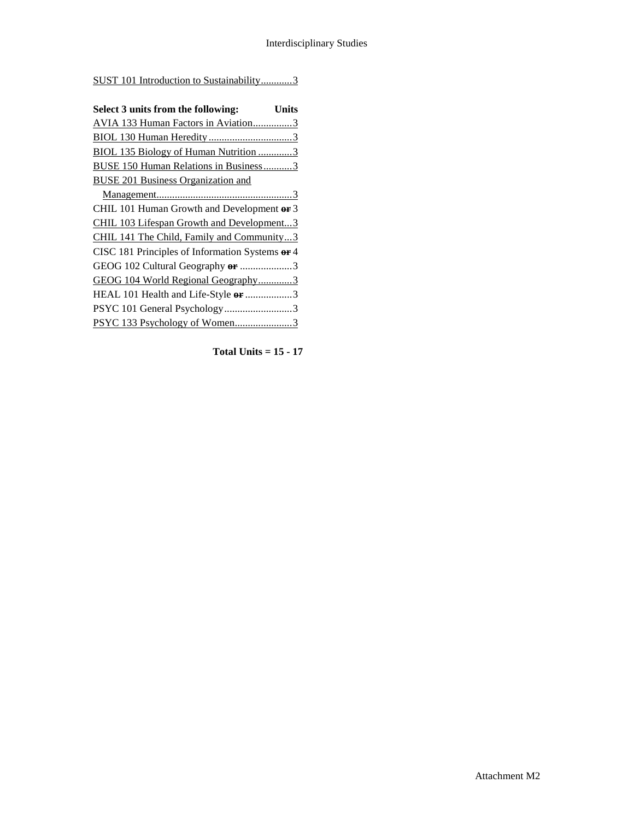SUST 101 Introduction to Sustainability............3

| Select 3 units from the following:<br>Units     |  |
|-------------------------------------------------|--|
| AVIA 133 Human Factors in Aviation3             |  |
|                                                 |  |
| <b>BIOL 135 Biology of Human Nutrition 3</b>    |  |
| <b>BUSE 150 Human Relations in Business3</b>    |  |
| <b>BUSE 201 Business Organization and</b>       |  |
|                                                 |  |
| CHIL 101 Human Growth and Development or 3      |  |
| CHIL 103 Lifespan Growth and Development3       |  |
| CHIL 141 The Child, Family and Community3       |  |
| CISC 181 Principles of Information Systems or 4 |  |
| GEOG 102 Cultural Geography or 3                |  |
| GEOG 104 World Regional Geography3              |  |
| HEAL 101 Health and Life-Style or 3             |  |
| PSYC 101 General Psychology3                    |  |
| PSYC 133 Psychology of Women3                   |  |

**Total Units = 15 - 17**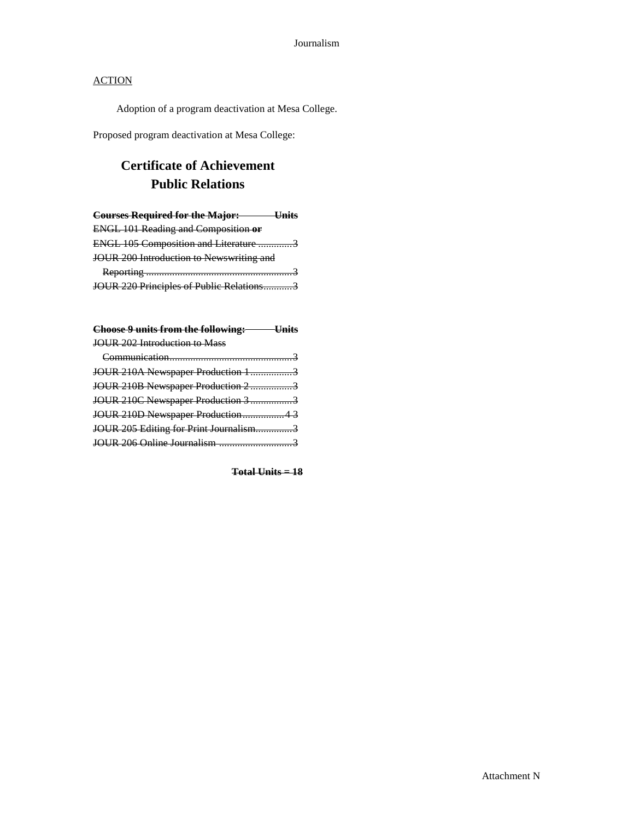Adoption of a program deactivation at Mesa College.

Proposed program deactivation at Mesa College:

# **Certificate of Achievement Public Relations**

| <b>Courses Required for the Major:</b>     |  |
|--------------------------------------------|--|
| <b>ENGL 101 Reading and Composition or</b> |  |
| ENGL 105 Composition and Literature 3      |  |
| JOUR 200 Introduction to Newswriting and   |  |
|                                            |  |
| JOUR 220 Principles of Public Relations3   |  |

| Choose 9 units from the following: Units |  |
|------------------------------------------|--|
| JOUR 202 Introduction to Mass            |  |
|                                          |  |
| JOUR 210A Newspaper Production 13        |  |
| JOUR 210B Newspaper Production 23        |  |
| JOUR 210C Newspaper Production 3 3       |  |
| JOUR 210D Newspaper Production43         |  |
| JOUR 205 Editing for Print Journalism3   |  |
|                                          |  |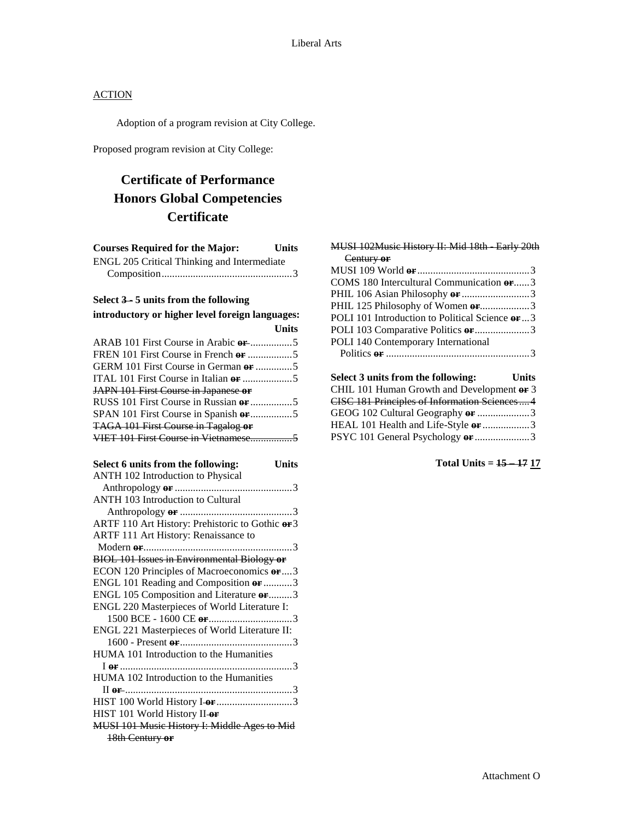Adoption of a program revision at City College.

Proposed program revision at City College:

# **Certificate of Performance Honors Global Competencies Certificate**

| <b>Courses Required for the Major:</b>              | <b>Units</b> |
|-----------------------------------------------------|--------------|
| ENGL 205 Critical Thinking and Intermediate         |              |
|                                                     |              |
|                                                     |              |
| Select 3-5 units from the following                 |              |
| introductory or higher level foreign languages:     |              |
|                                                     | <b>Units</b> |
|                                                     |              |
|                                                     |              |
| GERM 101 First Course in German $\theta$ <b>F</b> 5 |              |
|                                                     |              |
| JAPN 101 First Course in Japanese or                |              |
|                                                     |              |
| SPAN 101 First Course in Spanish or 5               |              |
| TAGA 101 First Course in Tagalog or                 |              |
| VIET 101 First Course in Vietnamese5                |              |
|                                                     |              |
| Select 6 units from the following:                  | <b>Units</b> |
| ANTH 102 Introduction to Physical                   |              |
|                                                     |              |
| ANTH 103 Introduction to Cultural                   |              |
|                                                     |              |
| ARTF 110 Art History: Prehistoric to Gothic or 3    |              |
| ARTF 111 Art History: Renaissance to                |              |
|                                                     |              |
| <b>BIOL 101 Issues in Environmental Biology or</b>  |              |
| ECON 120 Principles of Macroeconomics or  3         |              |
| ENGL 101 Reading and Composition or 3               |              |
| ENGL 105 Composition and Literature or  3           |              |
| ENGL 220 Masterpieces of World Literature I:        |              |
|                                                     |              |
| ENGL 221 Masterpieces of World Literature II:       |              |
|                                                     |              |
| HUMA 101 Introduction to the Humanities             |              |
|                                                     |              |
| HUMA 102 Introduction to the Humanities             |              |
|                                                     |              |
|                                                     |              |
| HIST 101 World History II-or                        |              |
| MUSI 101 Music History I: Middle Ages to Mid        |              |
| 18th Century or                                     |              |

| MUSI 102Music History II: Mid 18th Early 20th    |
|--------------------------------------------------|
| Century or                                       |
|                                                  |
| COMS 180 Intercultural Communication or  3       |
| PHIL 106 Asian Philosophy $er$ 3                 |
|                                                  |
| POLI 101 Introduction to Political Science or  3 |
|                                                  |
| POLI 140 Contemporary International              |
|                                                  |
|                                                  |
| Select 3 units from the following:<br>Units      |
| CHIL 101 Human Growth and Development or 3       |
| CISC 181 Principles of Information Sciences 4    |
| GEOG 102 Cultural Geography or 3                 |

HEAL 101 Health and Life-Style **or** ..................3 PSYC 101 General Psychology **or** .....................3

## **Total Units = 15 – 17 17**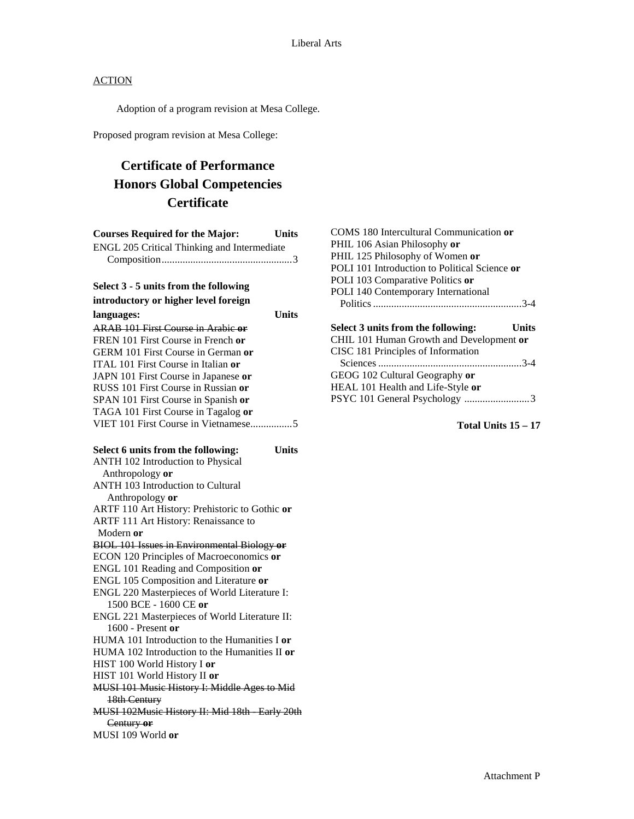Adoption of a program revision at Mesa College.

Proposed program revision at Mesa College:

# **Certificate of Performance Honors Global Competencies Certificate**

| <b>Courses Required for the Major:</b>             | <b>Units</b> |
|----------------------------------------------------|--------------|
| ENGL 205 Critical Thinking and Intermediate        |              |
|                                                    |              |
| Select 3 - 5 units from the following              |              |
| introductory or higher level foreign               |              |
| languages:                                         | Units        |
| <b>ARAB 101 First Course in Arabic or</b>          |              |
| FREN 101 First Course in French or                 |              |
| <b>GERM 101 First Course in German or</b>          |              |
| ITAL 101 First Course in Italian or                |              |
| JAPN 101 First Course in Japanese or               |              |
| RUSS 101 First Course in Russian or                |              |
| SPAN 101 First Course in Spanish or                |              |
| TAGA 101 First Course in Tagalog or                |              |
| VIET 101 First Course in Vietnamese5               |              |
| Select 6 units from the following:                 | <b>Units</b> |
| ANTH 102 Introduction to Physical                  |              |
| Anthropology or                                    |              |
| <b>ANTH 103 Introduction to Cultural</b>           |              |
| Anthropology or                                    |              |
| ARTF 110 Art History: Prehistoric to Gothic or     |              |
| ARTF 111 Art History: Renaissance to               |              |
| Modern or                                          |              |
| <b>BIOL 101 Issues in Environmental Biology or</b> |              |
| ECON 120 Principles of Macroeconomics or           |              |
| ENGL 101 Reading and Composition or                |              |
| ENGL 105 Composition and Literature or             |              |
| ENGL 220 Masterpieces of World Literature I:       |              |
| 1500 BCE - 1600 CE or                              |              |
| ENGL 221 Masterpieces of World Literature II:      |              |
| $1600$ - Present or                                |              |
| HUMA 101 Introduction to the Humanities I or       |              |
| HUMA 102 Introduction to the Humanities II or      |              |
| HIST 100 World History I or                        |              |
| HIST 101 World History II or                       |              |
| MUSI 101 Music History I: Middle Ages to Mid       |              |
| 18th Century                                       |              |
| MUSI 102Music History II: Mid 18th Early 20th      |              |
| Century or                                         |              |
| MUSI 109 World or                                  |              |
|                                                    |              |

| COMS 180 Intercultural Communication or       |
|-----------------------------------------------|
| PHIL 106 Asian Philosophy or                  |
| PHIL 125 Philosophy of Women or               |
| POLI 101 Introduction to Political Science or |
| POLI 103 Comparative Politics or              |
| POLI 140 Contemporary International           |
|                                               |
|                                               |
|                                               |
| Select 3 units from the following:<br>Units   |
| CHIL 101 Human Growth and Development or      |
| CISC 181 Principles of Information            |
|                                               |
| GEOG 102 Cultural Geography or                |
| HEAL 101 Health and Life-Style or             |

**Total Units 15 – 17**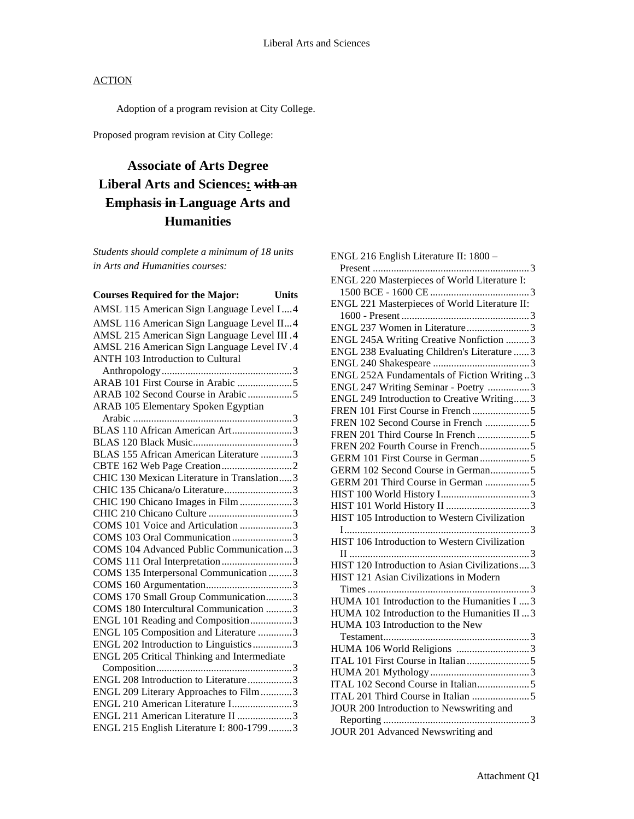Adoption of a program revision at City College.

Proposed program revision at City College:

# **Associate of Arts Degree Liberal Arts and Sciences: with an Emphasis in Language Arts and Humanities**

*Students should complete a minimum of 18 units in Arts and Humanities courses:*

| <b>Courses Required for the Major:</b>      | <b>Units</b> |
|---------------------------------------------|--------------|
| AMSL 115 American Sign Language Level I4    |              |
| AMSL 116 American Sign Language Level II4   |              |
| AMSL 215 American Sign Language Level III.4 |              |
| AMSL 216 American Sign Language Level IV.4  |              |
| ANTH 103 Introduction to Cultural           |              |
|                                             |              |
|                                             |              |
| ARAB 102 Second Course in Arabic 5          |              |
| ARAB 105 Elementary Spoken Egyptian         |              |
|                                             |              |
| BLAS 110 African American Art3              |              |
|                                             |              |
| BLAS 155 African American Literature 3      |              |
| CHIC 130 Mexican Literature in Translation3 |              |
| CHIC 135 Chicana/o Literature3              |              |
| CHIC 190 Chicano Images in Film 3           |              |
|                                             |              |
| COMS 101 Voice and Articulation 3           |              |
| COMS 103 Oral Communication3                |              |
| COMS 104 Advanced Public Communication3     |              |
| COMS 111 Oral Interpretation3               |              |
| COMS 135 Interpersonal Communication 3      |              |
|                                             |              |
| COMS 170 Small Group Communication3         |              |
| COMS 180 Intercultural Communication 3      |              |
| ENGL 101 Reading and Composition3           |              |
| ENGL 105 Composition and Literature 3       |              |
| ENGL 202 Introduction to Linguistics3       |              |
| ENGL 205 Critical Thinking and Intermediate |              |
|                                             |              |
| ENGL 208 Introduction to Literature3        |              |
| ENGL 209 Literary Approaches to Film3       |              |
| ENGL 210 American Literature I3             |              |
| ENGL 211 American Literature II 3           |              |
| ENGL 215 English Literature I: 800-17993    |              |

| ENGL 216 English Literature II: 1800 -        |
|-----------------------------------------------|
|                                               |
| ENGL 220 Masterpieces of World Literature I:  |
|                                               |
| ENGL 221 Masterpieces of World Literature II: |
|                                               |
| ENGL 237 Women in Literature3                 |
| ENGL 245A Writing Creative Nonfiction 3       |
| ENGL 238 Evaluating Children's Literature  3  |
|                                               |
| ENGL 252A Fundamentals of Fiction Writing3    |
| ENGL 247 Writing Seminar - Poetry 3           |
| ENGL 249 Introduction to Creative Writing3    |
|                                               |
|                                               |
|                                               |
| FREN 202 Fourth Course in French5             |
|                                               |
| GERM 102 Second Course in German5             |
| GERM 201 Third Course in German 5             |
|                                               |
|                                               |
| HIST 105 Introduction to Western Civilization |
|                                               |
| HIST 106 Introduction to Western Civilization |
|                                               |
| HIST 120 Introduction to Asian Civilizations3 |
| HIST 121 Asian Civilizations in Modern        |
|                                               |
| HUMA 101 Introduction to the Humanities I  3  |
| HUMA 102 Introduction to the Humanities II  3 |
| HUMA 103 Introduction to the New              |
|                                               |
| HUMA 106 World Religions 3                    |
|                                               |
|                                               |
|                                               |
|                                               |
| JOUR 200 Introduction to Newswriting and      |
|                                               |
| JOUR 201 Advanced Newswriting and             |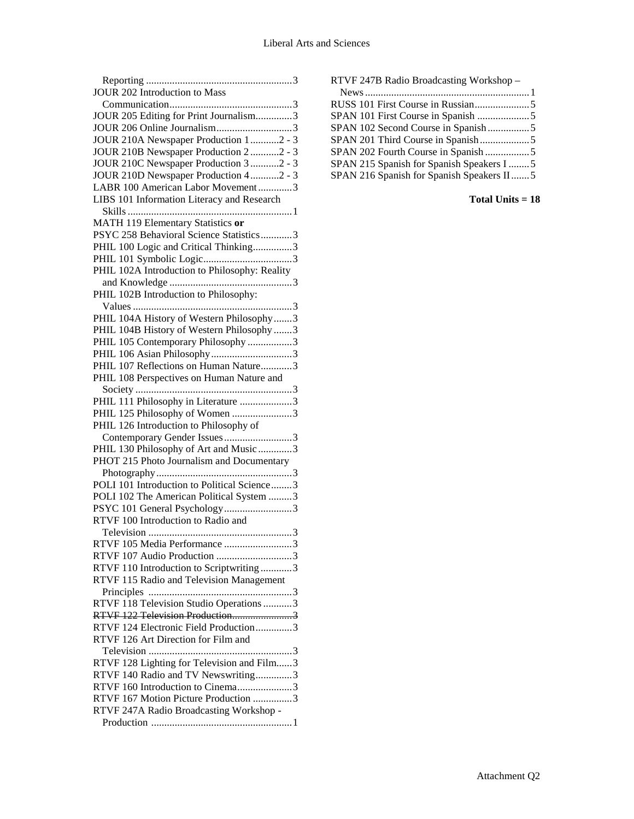| JOUR 202 Introduction to Mass                 |
|-----------------------------------------------|
|                                               |
| JOUR 205 Editing for Print Journalism3        |
| JOUR 206 Online Journalism3                   |
| JOUR 210A Newspaper Production 12 - 3         |
| JOUR 210B Newspaper Production 2 2 - 3        |
| JOUR 210C Newspaper Production 3 2 - 3        |
| JOUR 210D Newspaper Production 42 - 3         |
| LABR 100 American Labor Movement3             |
| LIBS 101 Information Literacy and Research    |
|                                               |
| MATH 119 Elementary Statistics or             |
| PSYC 258 Behavioral Science Statistics3       |
| PHIL 100 Logic and Critical Thinking3         |
|                                               |
| PHIL 102A Introduction to Philosophy: Reality |
|                                               |
| PHIL 102B Introduction to Philosophy:         |
|                                               |
| PHIL 104A History of Western Philosophy3      |
| PHIL 104B History of Western Philosophy 3     |
| PHIL 105 Contemporary Philosophy 3            |
| PHIL 106 Asian Philosophy3                    |
| PHIL 107 Reflections on Human Nature3         |
|                                               |
| PHIL 108 Perspectives on Human Nature and     |
|                                               |
| PHIL 111 Philosophy in Literature 3           |
| PHIL 125 Philosophy of Women 3                |
| PHIL 126 Introduction to Philosophy of        |
| Contemporary Gender Issues3                   |
| PHIL 130 Philosophy of Art and Music 3        |
| PHOT 215 Photo Journalism and Documentary     |
|                                               |
| POLI 101 Introduction to Political Science3   |
| POLI 102 The American Political System 3      |
| PSYC 101 General Psychology3                  |
| RTVF 100 Introduction to Radio and            |
|                                               |
| RTVF 105 Media Performance 3                  |
| RTVF 107 Audio Production 3                   |
| RTVF 110 Introduction to Scriptwriting 3      |
| RTVF 115 Radio and Television Management      |
|                                               |
| RTVF 118 Television Studio Operations 3       |
| RTVF 122 Television Production3               |
| RTVF 124 Electronic Field Production3         |
| RTVF 126 Art Direction for Film and           |
|                                               |
| RTVF 128 Lighting for Television and Film3    |
| RTVF 140 Radio and TV Newswriting3            |
| RTVF 160 Introduction to Cinema3              |
|                                               |
| RTVF 167 Motion Picture Production 3          |
| RTVF 247A Radio Broadcasting Workshop -       |

| RTVF 247B Radio Broadcasting Workshop -    |  |
|--------------------------------------------|--|
|                                            |  |
|                                            |  |
|                                            |  |
| SPAN 102 Second Course in Spanish5         |  |
|                                            |  |
| SPAN 202 Fourth Course in Spanish 5        |  |
| SPAN 215 Spanish for Spanish Speakers I  5 |  |
| SPAN 216 Spanish for Spanish Speakers II5  |  |
|                                            |  |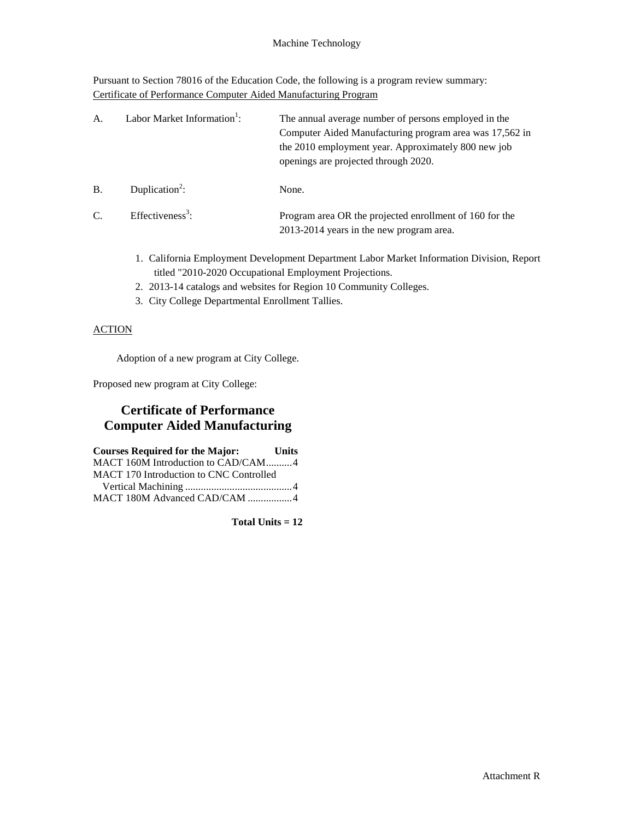Pursuant to Section 78016 of the Education Code, the following is a program review summary: Certificate of Performance Computer Aided Manufacturing Program

| А.        | Labor Market Information <sup>1</sup> : | The annual average number of persons employed in the<br>Computer Aided Manufacturing program area was 17,562 in<br>the 2010 employment year. Approximately 800 new job<br>openings are projected through 2020. |
|-----------|-----------------------------------------|----------------------------------------------------------------------------------------------------------------------------------------------------------------------------------------------------------------|
| <b>B.</b> | Duplication <sup>2</sup> :              | None.                                                                                                                                                                                                          |
| C.        | Effectiveness <sup>3</sup> :            | Program area OR the projected enrollment of 160 for the<br>2013-2014 years in the new program area.                                                                                                            |

- 1. California Employment Development Department Labor Market Information Division, Report titled "2010-2020 Occupational Employment Projections.
- 2. 2013-14 catalogs and websites for Region 10 Community Colleges.
- 3. City College Departmental Enrollment Tallies.

#### **ACTION**

Adoption of a new program at City College.

Proposed new program at City College:

## **Certificate of Performance Computer Aided Manufacturing**

| <b>Courses Required for the Major:</b>         | <b>Units</b> |
|------------------------------------------------|--------------|
| MACT 160M Introduction to CAD/CAM4             |              |
| <b>MACT 170 Introduction to CNC Controlled</b> |              |
|                                                |              |
| MACT 180M Advanced CAD/CAM 4                   |              |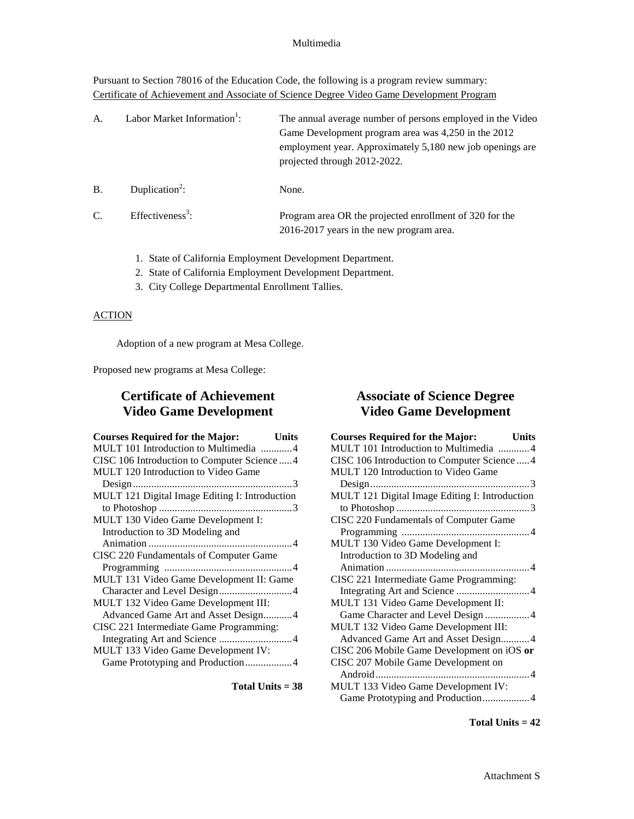#### Multimedia

Pursuant to Section 78016 of the Education Code, the following is a program review summary: Certificate of Achievement and Associate of Science Degree Video Game Development Program

| А. | Labor Market Information <sup>1</sup> : | The annual average number of persons employed in the Video<br>Game Development program area was 4,250 in the 2012<br>employment year. Approximately 5,180 new job openings are<br>projected through 2012-2022. |
|----|-----------------------------------------|----------------------------------------------------------------------------------------------------------------------------------------------------------------------------------------------------------------|
| B. | Duplication <sup>2</sup> :              | None.                                                                                                                                                                                                          |
| C. | Effectiveness <sup>3</sup> :            | Program area OR the projected enrollment of 320 for the<br>2016-2017 years in the new program area.                                                                                                            |

- 1. State of California Employment Development Department.
- 2. State of California Employment Development Department.
- 3. City College Departmental Enrollment Tallies.

### **ACTION**

Adoption of a new program at Mesa College.

Proposed new programs at Mesa College:

## **Certificate of Achievement Video Game Development**

| <b>Courses Required for the Major:</b><br><b>Units</b> |  |
|--------------------------------------------------------|--|
| MULT 101 Introduction to Multimedia 4                  |  |
| CISC 106 Introduction to Computer Science  4           |  |
| MULT 120 Introduction to Video Game                    |  |
|                                                        |  |
| MULT 121 Digital Image Editing I: Introduction         |  |
|                                                        |  |
| MULT 130 Video Game Development I:                     |  |
| Introduction to 3D Modeling and                        |  |
|                                                        |  |
| CISC 220 Fundamentals of Computer Game                 |  |
|                                                        |  |
| MULT 131 Video Game Development II: Game               |  |
| Character and Level Design4                            |  |
| MULT 132 Video Game Development III:                   |  |
| Advanced Game Art and Asset Design4                    |  |
| CISC 221 Intermediate Game Programming:                |  |
|                                                        |  |
| MULT 133 Video Game Development IV:                    |  |
|                                                        |  |
|                                                        |  |

**Total Units = 38**

## **Associate of Science Degree Video Game Development**

| <b>Courses Required for the Major:</b><br><b>Units</b> |  |
|--------------------------------------------------------|--|
| MULT 101 Introduction to Multimedia 4                  |  |
| CISC 106 Introduction to Computer Science  4           |  |
| MULT 120 Introduction to Video Game                    |  |
|                                                        |  |
| MULT 121 Digital Image Editing I: Introduction         |  |
|                                                        |  |
| CISC 220 Fundamentals of Computer Game                 |  |
|                                                        |  |
| MULT 130 Video Game Development I:                     |  |
| Introduction to 3D Modeling and                        |  |
|                                                        |  |
| CISC 221 Intermediate Game Programming:                |  |
| Integrating Art and Science 4                          |  |
| MULT 131 Video Game Development II:                    |  |
| Game Character and Level Design 4                      |  |
| MULT 132 Video Game Development III:                   |  |
| Advanced Game Art and Asset Design4                    |  |
| CISC 206 Mobile Game Development on iOS or             |  |
| CISC 207 Mobile Game Development on                    |  |
|                                                        |  |
| MULT 133 Video Game Development IV:                    |  |
| Game Prototyping and Production4                       |  |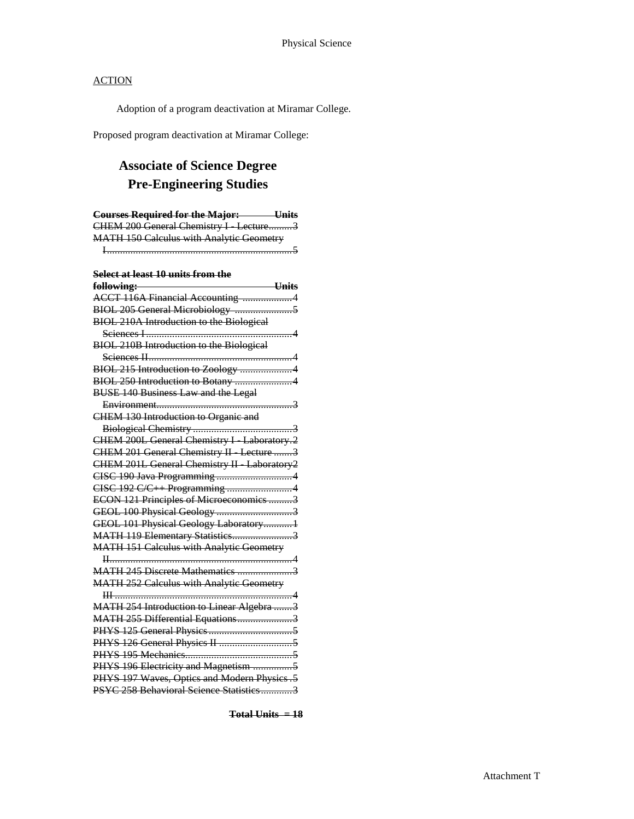Adoption of a program deactivation at Miramar College.

Proposed program deactivation at Miramar College:

# **Associate of Science Degree Pre-Engineering Studies**

| <b>Courses Required for the Major:</b> Units    |
|-------------------------------------------------|
| CHEM 200 General Chemistry I Lecture3           |
| <b>MATH 150 Calculus with Analytic Geometry</b> |
|                                                 |
|                                                 |
| Select at least 10 units from the               |
| $Units$<br>following:                           |
| ACCT 116A Financial Accounting 4                |
|                                                 |
| <b>BIOL 210A Introduction to the Biological</b> |
|                                                 |
| BIOL 210B Introduction to the Biological        |
|                                                 |
| BIOL 215 Introduction to Zoology 4              |
| BIOL 250 Introduction to Botany 4               |
| <b>BUSE 140 Business Law and the Legal</b>      |
|                                                 |
| <b>CHEM 130 Introduction to Organic and</b>     |
|                                                 |
| CHEM 200L General Chemistry I Laboratory.2      |
| CHEM 201 General Chemistry II Lecture 3         |
| CHEM 201L General Chemistry II Laboratory2      |
|                                                 |
| CISC 192 C/C++ Programming 4                    |
| ECON 121 Principles of Microeconomics 3         |
|                                                 |
| GEOL 101 Physical Geology Laboratory1           |
| MATH 119 Elementary Statistics3                 |
| <b>MATH 151 Calculus with Analytic Geometry</b> |
|                                                 |
| MATH 245 Discrete Mathematics 3                 |
| <b>MATH 252 Calculus with Analytic Geometry</b> |
|                                                 |
| MATH 254 Introduction to Linear Algebra 3       |
| MATH 255 Differential Equations3                |
|                                                 |
|                                                 |
|                                                 |
| PHYS 196 Electricity and Magnetism 5            |
| PHYS 197 Waves, Optics and Modern Physics .5    |
| PSYC 258 Behavioral Science Statistics3         |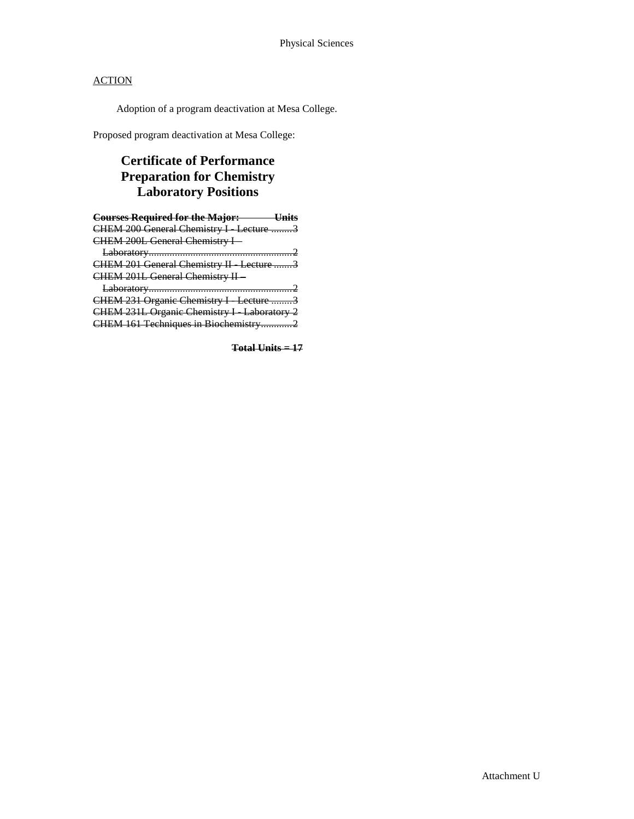Adoption of a program deactivation at Mesa College.

Proposed program deactivation at Mesa College:

## **Certificate of Performance Preparation for Chemistry Laboratory Positions**

| <b>Courses Required for the Major: Units</b> |
|----------------------------------------------|
| CHEM 200 General Chemistry I Lecture 3       |
| CHEM 200L General Chemistry I-               |
|                                              |
| CHEM 201 General Chemistry II Lecture 3      |
| CHEM 201L General Chemistry II-              |
|                                              |
| CHEM 231 Organic Chemistry I Lecture 3       |
| CHEM 231L Organic Chemistry I Laboratory 2   |
| CHEM 161 Techniques in Biochemistry2         |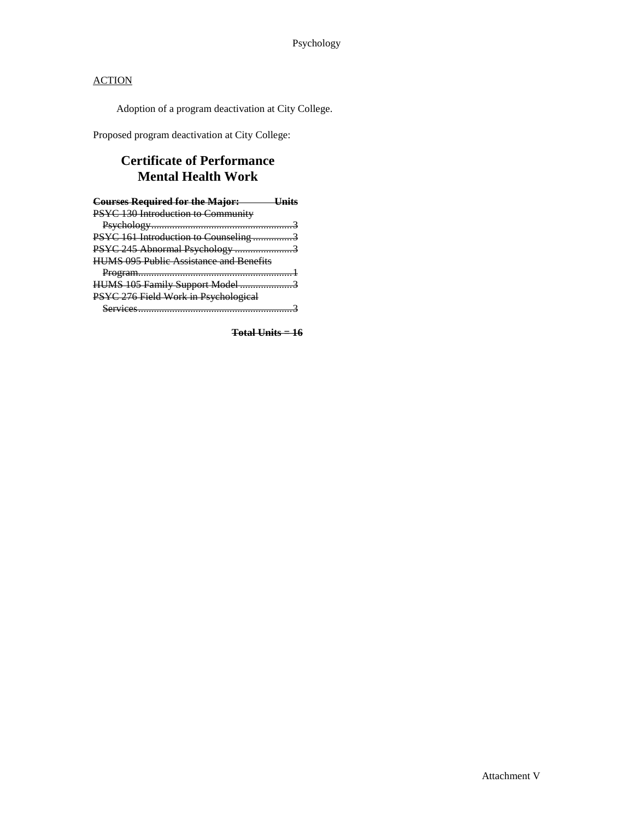Adoption of a program deactivation at City College.

Proposed program deactivation at City College:

## **Certificate of Performance Mental Health Work**

| <b>Courses Required for the Major:</b> Unit    |  |
|------------------------------------------------|--|
| PSYC 130 Introduction to Community             |  |
|                                                |  |
| PSYC 161 Introduction to Counseling 3          |  |
| PSYC 245 Abnormal Psychology 3                 |  |
| <b>HUMS 095 Public Assistance and Benefits</b> |  |
|                                                |  |
| HUMS 105 Family Support Model 3                |  |
| PSYC 276 Field Work in Psychological           |  |
|                                                |  |